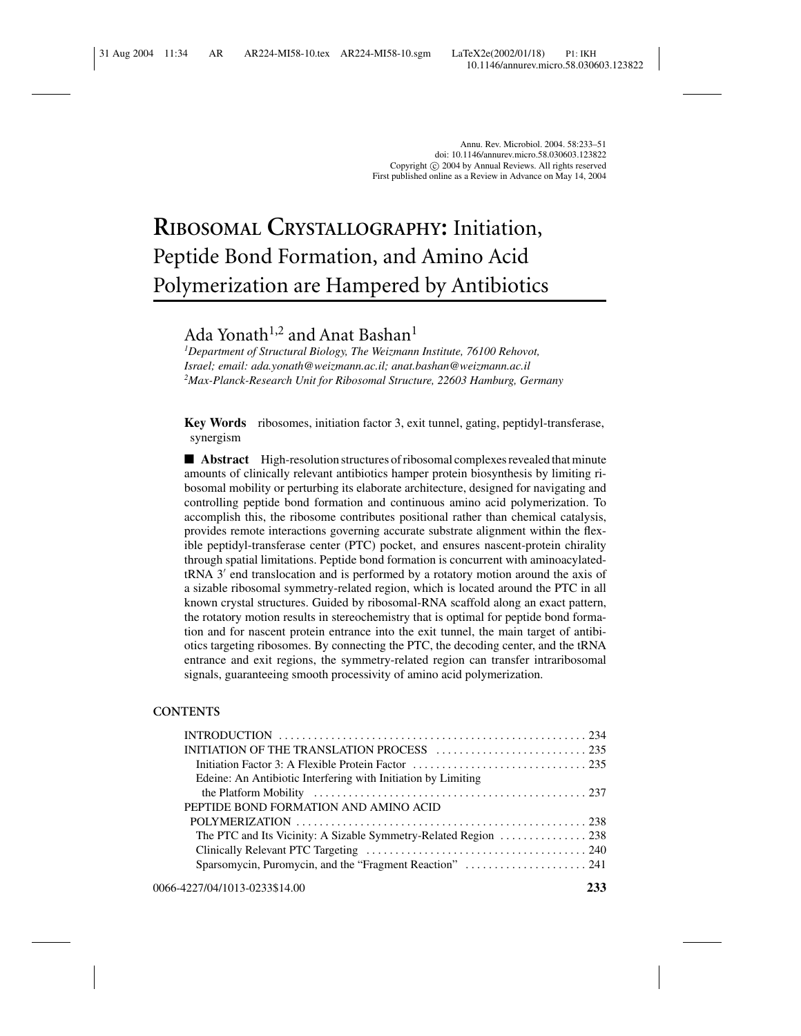# **RIBOSOMAL CRYSTALLOGRAPHY:** Initiation, Peptide Bond Formation, and Amino Acid Polymerization are Hampered by Antibiotics

# Ada Yonath<sup>1,2</sup> and Anat Bashan<sup>1</sup>

*1 Department of Structural Biology, The Weizmann Institute, 76100 Rehovot, Israel; email: ada.yonath@weizmann.ac.il; anat.bashan@weizmann.ac.il 2 Max-Planck-Research Unit for Ribosomal Structure, 22603 Hamburg, Germany*

**Key Words** ribosomes, initiation factor 3, exit tunnel, gating, peptidyl-transferase, synergism

■ **Abstract** High-resolution structures of ribosomal complexes revealed that minute amounts of clinically relevant antibiotics hamper protein biosynthesis by limiting ribosomal mobility or perturbing its elaborate architecture, designed for navigating and controlling peptide bond formation and continuous amino acid polymerization. To accomplish this, the ribosome contributes positional rather than chemical catalysis, provides remote interactions governing accurate substrate alignment within the flexible peptidyl-transferase center (PTC) pocket, and ensures nascent-protein chirality through spatial limitations. Peptide bond formation is concurrent with aminoacylated $tRNA$  3' end translocation and is performed by a rotatory motion around the axis of a sizable ribosomal symmetry-related region, which is located around the PTC in all known crystal structures. Guided by ribosomal-RNA scaffold along an exact pattern, the rotatory motion results in stereochemistry that is optimal for peptide bond formation and for nascent protein entrance into the exit tunnel, the main target of antibiotics targeting ribosomes. By connecting the PTC, the decoding center, and the tRNA entrance and exit regions, the symmetry-related region can transfer intraribosomal signals, guaranteeing smooth processivity of amino acid polymerization.

#### **CONTENTS**

| Edeine: An Antibiotic Interfering with Initiation by Limiting |  |
|---------------------------------------------------------------|--|
|                                                               |  |
| PEPTIDE BOND FORMATION AND AMINO ACID                         |  |
|                                                               |  |
|                                                               |  |
|                                                               |  |
|                                                               |  |
|                                                               |  |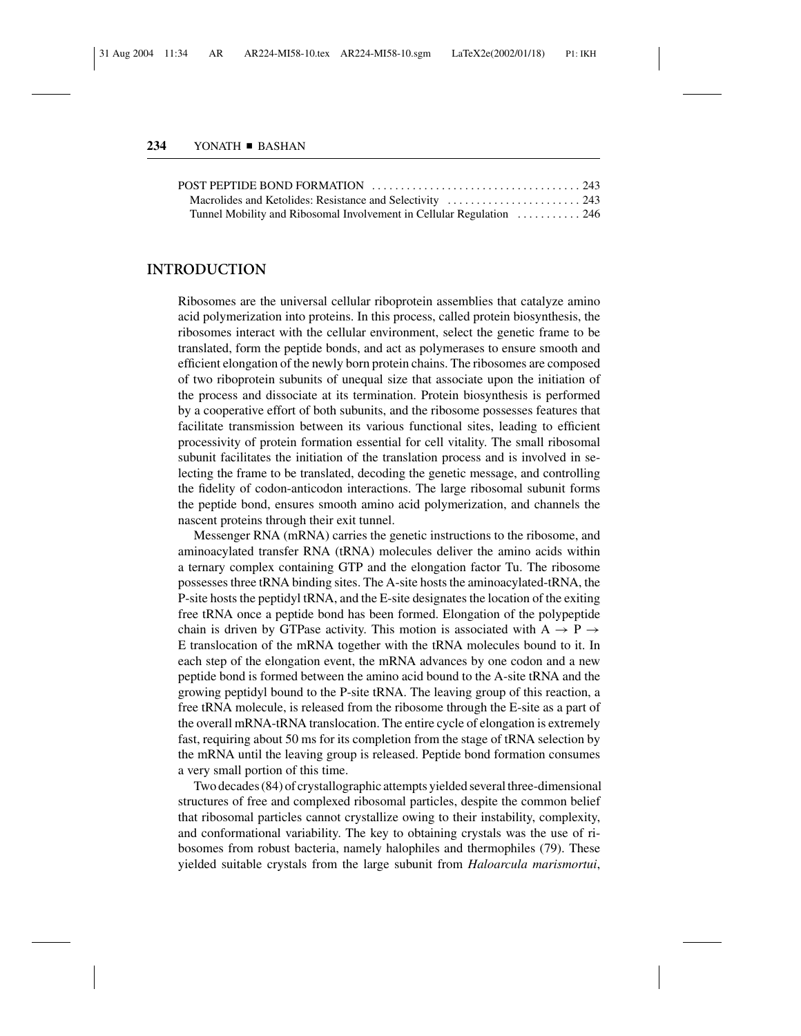| Tunnel Mobility and Ribosomal Involvement in Cellular Regulation  246 |  |
|-----------------------------------------------------------------------|--|

#### **INTRODUCTION**

Ribosomes are the universal cellular riboprotein assemblies that catalyze amino acid polymerization into proteins. In this process, called protein biosynthesis, the ribosomes interact with the cellular environment, select the genetic frame to be translated, form the peptide bonds, and act as polymerases to ensure smooth and efficient elongation of the newly born protein chains. The ribosomes are composed of two riboprotein subunits of unequal size that associate upon the initiation of the process and dissociate at its termination. Protein biosynthesis is performed by a cooperative effort of both subunits, and the ribosome possesses features that facilitate transmission between its various functional sites, leading to efficient processivity of protein formation essential for cell vitality. The small ribosomal subunit facilitates the initiation of the translation process and is involved in selecting the frame to be translated, decoding the genetic message, and controlling the fidelity of codon-anticodon interactions. The large ribosomal subunit forms the peptide bond, ensures smooth amino acid polymerization, and channels the nascent proteins through their exit tunnel.

Messenger RNA (mRNA) carries the genetic instructions to the ribosome, and aminoacylated transfer RNA (tRNA) molecules deliver the amino acids within a ternary complex containing GTP and the elongation factor Tu. The ribosome possesses three tRNA binding sites. The A-site hosts the aminoacylated-tRNA, the P-site hosts the peptidyl tRNA, and the E-site designates the location of the exiting free tRNA once a peptide bond has been formed. Elongation of the polypeptide chain is driven by GTPase activity. This motion is associated with A  $\rightarrow$  P  $\rightarrow$ E translocation of the mRNA together with the tRNA molecules bound to it. In each step of the elongation event, the mRNA advances by one codon and a new peptide bond is formed between the amino acid bound to the A-site tRNA and the growing peptidyl bound to the P-site tRNA. The leaving group of this reaction, a free tRNA molecule, is released from the ribosome through the E-site as a part of the overall mRNA-tRNA translocation. The entire cycle of elongation is extremely fast, requiring about 50 ms for its completion from the stage of tRNA selection by the mRNA until the leaving group is released. Peptide bond formation consumes a very small portion of this time.

Two decades (84) of crystallographic attempts yielded several three-dimensional structures of free and complexed ribosomal particles, despite the common belief that ribosomal particles cannot crystallize owing to their instability, complexity, and conformational variability. The key to obtaining crystals was the use of ribosomes from robust bacteria, namely halophiles and thermophiles (79). These yielded suitable crystals from the large subunit from *Haloarcula marismortui*,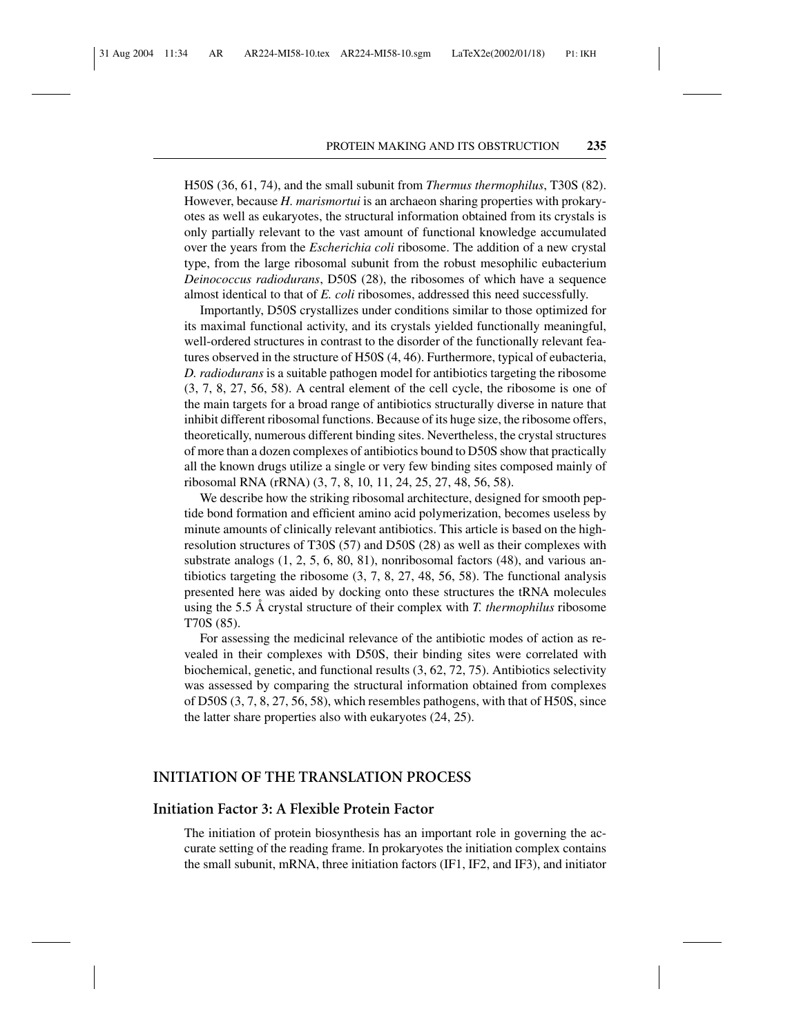H50S (36, 61, 74), and the small subunit from *Thermus thermophilus*, T30S (82). However, because *H. marismortui* is an archaeon sharing properties with prokaryotes as well as eukaryotes, the structural information obtained from its crystals is only partially relevant to the vast amount of functional knowledge accumulated over the years from the *Escherichia coli* ribosome. The addition of a new crystal type, from the large ribosomal subunit from the robust mesophilic eubacterium *Deinococcus radiodurans*, D50S (28), the ribosomes of which have a sequence almost identical to that of *E. coli* ribosomes, addressed this need successfully.

Importantly, D50S crystallizes under conditions similar to those optimized for its maximal functional activity, and its crystals yielded functionally meaningful, well-ordered structures in contrast to the disorder of the functionally relevant features observed in the structure of H50S (4, 46). Furthermore, typical of eubacteria, *D. radiodurans* is a suitable pathogen model for antibiotics targeting the ribosome (3, 7, 8, 27, 56, 58). A central element of the cell cycle, the ribosome is one of the main targets for a broad range of antibiotics structurally diverse in nature that inhibit different ribosomal functions. Because of its huge size, the ribosome offers, theoretically, numerous different binding sites. Nevertheless, the crystal structures of more than a dozen complexes of antibiotics bound to D50S show that practically all the known drugs utilize a single or very few binding sites composed mainly of ribosomal RNA (rRNA) (3, 7, 8, 10, 11, 24, 25, 27, 48, 56, 58).

We describe how the striking ribosomal architecture, designed for smooth peptide bond formation and efficient amino acid polymerization, becomes useless by minute amounts of clinically relevant antibiotics. This article is based on the highresolution structures of T30S (57) and D50S (28) as well as their complexes with substrate analogs (1, 2, 5, 6, 80, 81), nonribosomal factors (48), and various antibiotics targeting the ribosome (3, 7, 8, 27, 48, 56, 58). The functional analysis presented here was aided by docking onto these structures the tRNA molecules using the 5.5 Å crystal structure of their complex with *T. thermophilus* ribosome T70S (85).

For assessing the medicinal relevance of the antibiotic modes of action as revealed in their complexes with D50S, their binding sites were correlated with biochemical, genetic, and functional results (3, 62, 72, 75). Antibiotics selectivity was assessed by comparing the structural information obtained from complexes of D50S (3, 7, 8, 27, 56, 58), which resembles pathogens, with that of H50S, since the latter share properties also with eukaryotes (24, 25).

#### **INITIATION OF THE TRANSLATION PROCESS**

#### **Initiation Factor 3: A Flexible Protein Factor**

The initiation of protein biosynthesis has an important role in governing the accurate setting of the reading frame. In prokaryotes the initiation complex contains the small subunit, mRNA, three initiation factors (IF1, IF2, and IF3), and initiator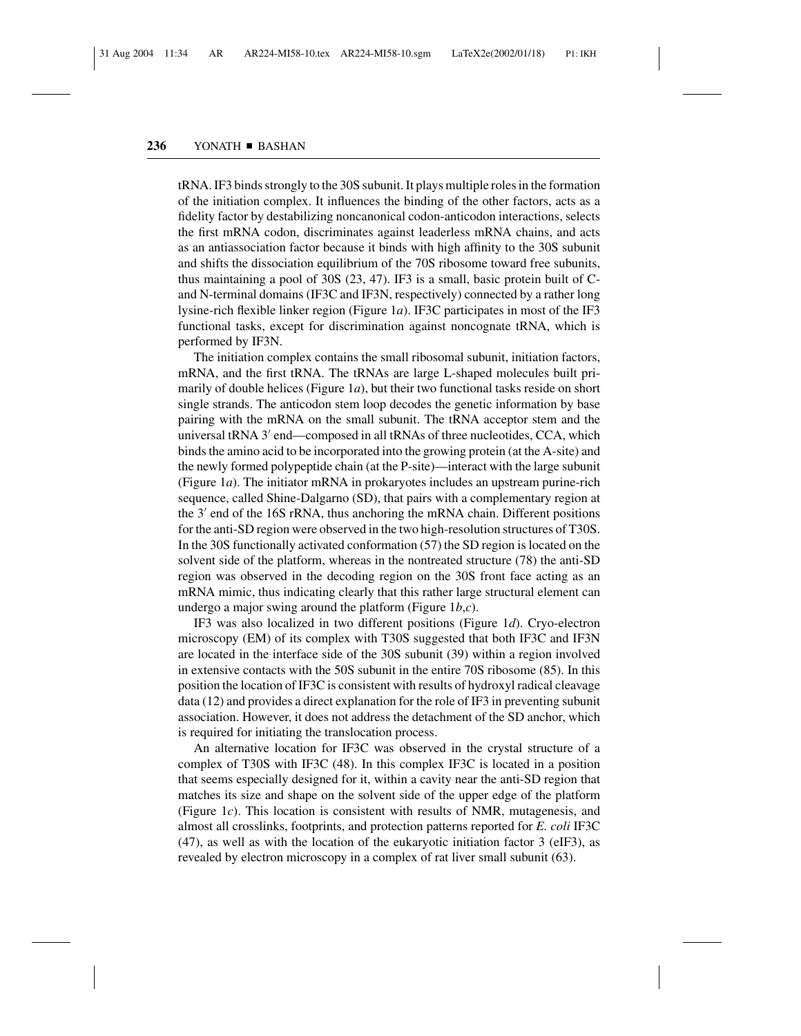tRNA. IF3 binds strongly to the 30S subunit. It plays multiple roles in the formation of the initiation complex. It influences the binding of the other factors, acts as a fidelity factor by destabilizing noncanonical codon-anticodon interactions, selects the first mRNA codon, discriminates against leaderless mRNA chains, and acts as an antiassociation factor because it binds with high affinity to the 30S subunit and shifts the dissociation equilibrium of the 70S ribosome toward free subunits, thus maintaining a pool of 30S (23, 47). IF3 is a small, basic protein built of Cand N-terminal domains (IF3C and IF3N, respectively) connected by a rather long lysine-rich flexible linker region (Figure 1*a*). IF3C participates in most of the IF3 functional tasks, except for discrimination against noncognate tRNA, which is performed by IF3N.

The initiation complex contains the small ribosomal subunit, initiation factors, mRNA, and the first tRNA. The tRNAs are large L-shaped molecules built primarily of double helices (Figure 1*a*), but their two functional tasks reside on short single strands. The anticodon stem loop decodes the genetic information by base pairing with the mRNA on the small subunit. The tRNA acceptor stem and the universal tRNA 3' end—composed in all tRNAs of three nucleotides, CCA, which binds the amino acid to be incorporated into the growing protein (at the A-site) and the newly formed polypeptide chain (at the P-site)—interact with the large subunit (Figure 1*a*). The initiator mRNA in prokaryotes includes an upstream purine-rich sequence, called Shine-Dalgarno (SD), that pairs with a complementary region at the 3' end of the 16S rRNA, thus anchoring the mRNA chain. Different positions for the anti-SD region were observed in the two high-resolution structures of T30S. In the 30S functionally activated conformation (57) the SD region is located on the solvent side of the platform, whereas in the nontreated structure (78) the anti-SD region was observed in the decoding region on the 30S front face acting as an mRNA mimic, thus indicating clearly that this rather large structural element can undergo a major swing around the platform (Figure 1*b*,*c*).

IF3 was also localized in two different positions (Figure 1*d*). Cryo-electron microscopy (EM) of its complex with T30S suggested that both IF3C and IF3N are located in the interface side of the 30S subunit (39) within a region involved in extensive contacts with the 50S subunit in the entire 70S ribosome (85). In this position the location of IF3C is consistent with results of hydroxyl radical cleavage data (12) and provides a direct explanation for the role of IF3 in preventing subunit association. However, it does not address the detachment of the SD anchor, which is required for initiating the translocation process.

An alternative location for IF3C was observed in the crystal structure of a complex of T30S with IF3C (48). In this complex IF3C is located in a position that seems especially designed for it, within a cavity near the anti-SD region that matches its size and shape on the solvent side of the upper edge of the platform (Figure 1*c*). This location is consistent with results of NMR, mutagenesis, and almost all crosslinks, footprints, and protection patterns reported for *E. coli* IF3C (47), as well as with the location of the eukaryotic initiation factor 3 (eIF3), as revealed by electron microscopy in a complex of rat liver small subunit (63).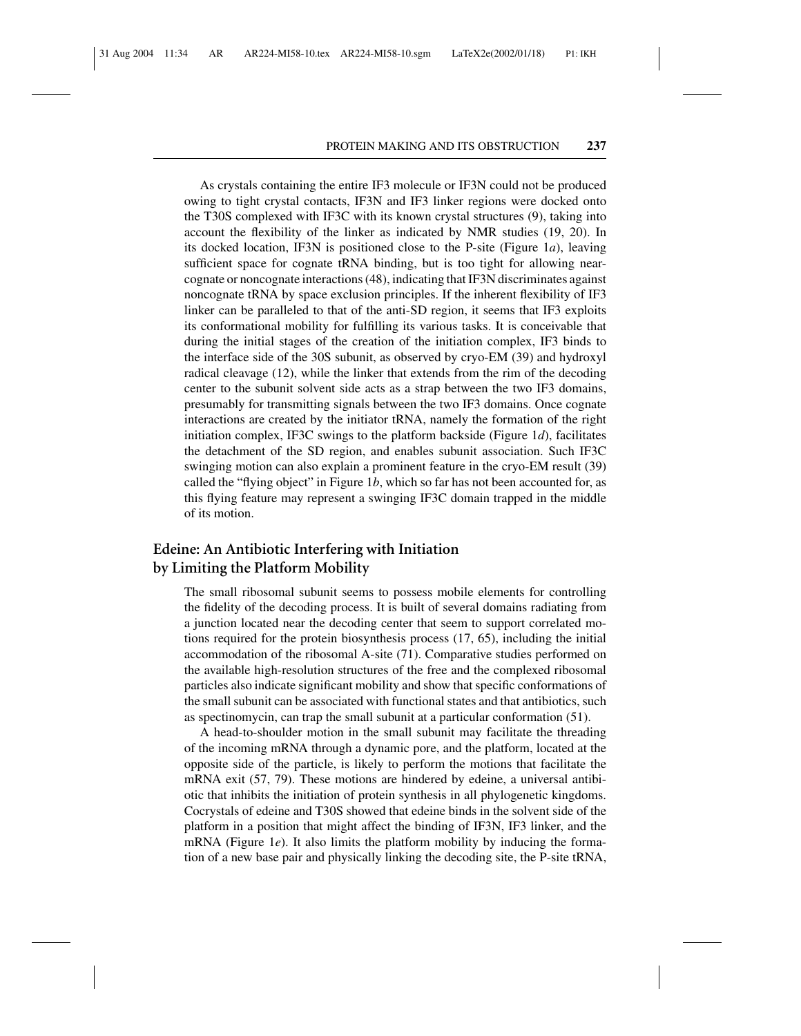As crystals containing the entire IF3 molecule or IF3N could not be produced owing to tight crystal contacts, IF3N and IF3 linker regions were docked onto the T30S complexed with IF3C with its known crystal structures (9), taking into account the flexibility of the linker as indicated by NMR studies (19, 20). In its docked location, IF3N is positioned close to the P-site (Figure 1*a*), leaving sufficient space for cognate tRNA binding, but is too tight for allowing nearcognate or noncognate interactions (48), indicating that IF3N discriminates against noncognate tRNA by space exclusion principles. If the inherent flexibility of IF3 linker can be paralleled to that of the anti-SD region, it seems that IF3 exploits its conformational mobility for fulfilling its various tasks. It is conceivable that during the initial stages of the creation of the initiation complex, IF3 binds to the interface side of the 30S subunit, as observed by cryo-EM (39) and hydroxyl radical cleavage (12), while the linker that extends from the rim of the decoding center to the subunit solvent side acts as a strap between the two IF3 domains, presumably for transmitting signals between the two IF3 domains. Once cognate interactions are created by the initiator tRNA, namely the formation of the right initiation complex, IF3C swings to the platform backside (Figure 1*d*), facilitates the detachment of the SD region, and enables subunit association. Such IF3C swinging motion can also explain a prominent feature in the cryo-EM result (39) called the "flying object" in Figure 1*b*, which so far has not been accounted for, as this flying feature may represent a swinging IF3C domain trapped in the middle of its motion.

## **Edeine: An Antibiotic Interfering with Initiation by Limiting the Platform Mobility**

The small ribosomal subunit seems to possess mobile elements for controlling the fidelity of the decoding process. It is built of several domains radiating from a junction located near the decoding center that seem to support correlated motions required for the protein biosynthesis process (17, 65), including the initial accommodation of the ribosomal A-site (71). Comparative studies performed on the available high-resolution structures of the free and the complexed ribosomal particles also indicate significant mobility and show that specific conformations of the small subunit can be associated with functional states and that antibiotics, such as spectinomycin, can trap the small subunit at a particular conformation (51).

A head-to-shoulder motion in the small subunit may facilitate the threading of the incoming mRNA through a dynamic pore, and the platform, located at the opposite side of the particle, is likely to perform the motions that facilitate the mRNA exit (57, 79). These motions are hindered by edeine, a universal antibiotic that inhibits the initiation of protein synthesis in all phylogenetic kingdoms. Cocrystals of edeine and T30S showed that edeine binds in the solvent side of the platform in a position that might affect the binding of IF3N, IF3 linker, and the mRNA (Figure 1*e*). It also limits the platform mobility by inducing the formation of a new base pair and physically linking the decoding site, the P-site tRNA,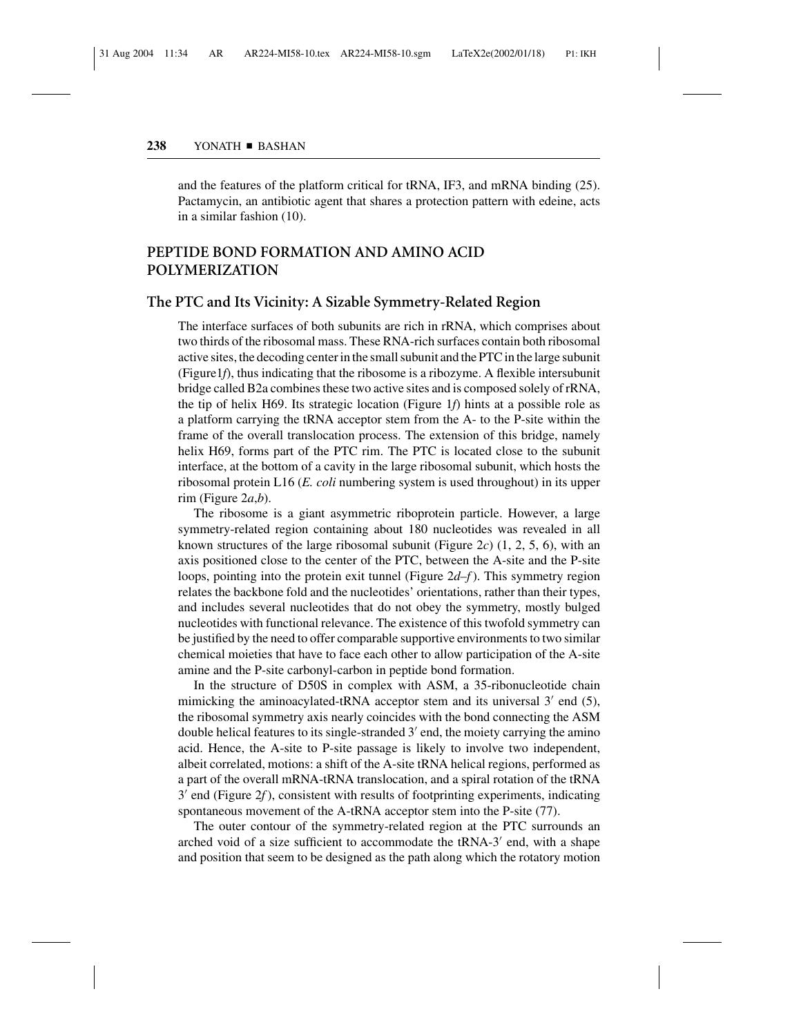and the features of the platform critical for tRNA, IF3, and mRNA binding (25). Pactamycin, an antibiotic agent that shares a protection pattern with edeine, acts in a similar fashion (10).

# **PEPTIDE BOND FORMATION AND AMINO ACID POLYMERIZATION**

#### **The PTC and Its Vicinity: A Sizable Symmetry-Related Region**

The interface surfaces of both subunits are rich in rRNA, which comprises about two thirds of the ribosomal mass. These RNA-rich surfaces contain both ribosomal active sites, the decoding center in the small subunit and the PTC in the large subunit (Figure1*f*), thus indicating that the ribosome is a ribozyme. A flexible intersubunit bridge called B2a combines these two active sites and is composed solely of rRNA, the tip of helix H69. Its strategic location (Figure 1*f*) hints at a possible role as a platform carrying the tRNA acceptor stem from the A- to the P-site within the frame of the overall translocation process. The extension of this bridge, namely helix H69, forms part of the PTC rim. The PTC is located close to the subunit interface, at the bottom of a cavity in the large ribosomal subunit, which hosts the ribosomal protein L16 (*E. coli* numbering system is used throughout) in its upper rim (Figure 2*a*,*b*).

The ribosome is a giant asymmetric riboprotein particle. However, a large symmetry-related region containing about 180 nucleotides was revealed in all known structures of the large ribosomal subunit (Figure 2c)  $(1, 2, 5, 6)$ , with an axis positioned close to the center of the PTC, between the A-site and the P-site loops, pointing into the protein exit tunnel (Figure 2*d–f* ). This symmetry region relates the backbone fold and the nucleotides' orientations, rather than their types, and includes several nucleotides that do not obey the symmetry, mostly bulged nucleotides with functional relevance. The existence of this twofold symmetry can be justified by the need to offer comparable supportive environments to two similar chemical moieties that have to face each other to allow participation of the A-site amine and the P-site carbonyl-carbon in peptide bond formation.

In the structure of D50S in complex with ASM, a 35-ribonucleotide chain mimicking the aminoacylated-tRNA acceptor stem and its universal  $3'$  end  $(5)$ , the ribosomal symmetry axis nearly coincides with the bond connecting the ASM double helical features to its single-stranded  $3'$  end, the moiety carrying the amino acid. Hence, the A-site to P-site passage is likely to involve two independent, albeit correlated, motions: a shift of the A-site tRNA helical regions, performed as a part of the overall mRNA-tRNA translocation, and a spiral rotation of the tRNA  $3'$  end (Figure  $2f$ ), consistent with results of footprinting experiments, indicating spontaneous movement of the A-tRNA acceptor stem into the P-site (77).

The outer contour of the symmetry-related region at the PTC surrounds an arched void of a size sufficient to accommodate the tRNA-3' end, with a shape and position that seem to be designed as the path along which the rotatory motion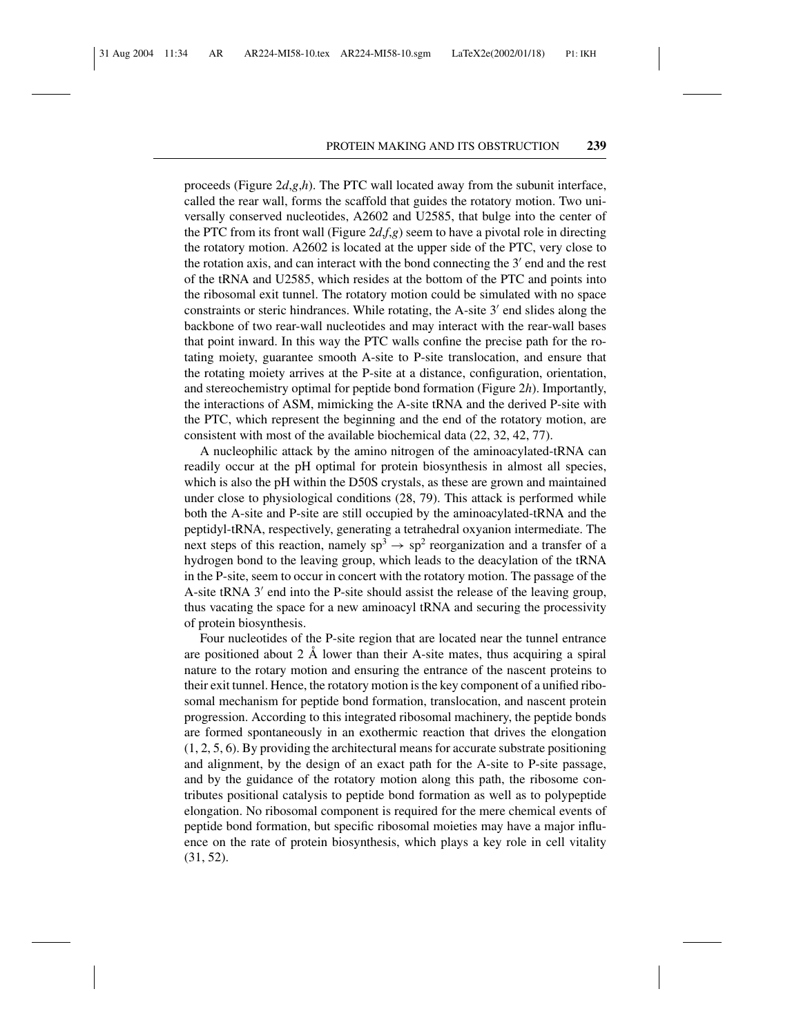proceeds (Figure 2*d*,*g*,*h*). The PTC wall located away from the subunit interface, called the rear wall, forms the scaffold that guides the rotatory motion. Two universally conserved nucleotides, A2602 and U2585, that bulge into the center of the PTC from its front wall (Figure  $2d, f, g$ ) seem to have a pivotal role in directing the rotatory motion. A2602 is located at the upper side of the PTC, very close to the rotation axis, and can interact with the bond connecting the  $3'$  end and the rest of the tRNA and U2585, which resides at the bottom of the PTC and points into the ribosomal exit tunnel. The rotatory motion could be simulated with no space constraints or steric hindrances. While rotating, the A-site  $3'$  end slides along the backbone of two rear-wall nucleotides and may interact with the rear-wall bases that point inward. In this way the PTC walls confine the precise path for the rotating moiety, guarantee smooth A-site to P-site translocation, and ensure that the rotating moiety arrives at the P-site at a distance, configuration, orientation, and stereochemistry optimal for peptide bond formation (Figure 2*h*). Importantly, the interactions of ASM, mimicking the A-site tRNA and the derived P-site with the PTC, which represent the beginning and the end of the rotatory motion, are consistent with most of the available biochemical data (22, 32, 42, 77).

A nucleophilic attack by the amino nitrogen of the aminoacylated-tRNA can readily occur at the pH optimal for protein biosynthesis in almost all species, which is also the pH within the D50S crystals, as these are grown and maintained under close to physiological conditions (28, 79). This attack is performed while both the A-site and P-site are still occupied by the aminoacylated-tRNA and the peptidyl-tRNA, respectively, generating a tetrahedral oxyanion intermediate. The next steps of this reaction, namely  $sp^3 \rightarrow sp^2$  reorganization and a transfer of a hydrogen bond to the leaving group, which leads to the deacylation of the tRNA in the P-site, seem to occur in concert with the rotatory motion. The passage of the A-site tRNA  $3'$  end into the P-site should assist the release of the leaving group, thus vacating the space for a new aminoacyl tRNA and securing the processivity of protein biosynthesis.

Four nucleotides of the P-site region that are located near the tunnel entrance are positioned about  $2 \text{ Å}$  lower than their A-site mates, thus acquiring a spiral nature to the rotary motion and ensuring the entrance of the nascent proteins to their exit tunnel. Hence, the rotatory motion is the key component of a unified ribosomal mechanism for peptide bond formation, translocation, and nascent protein progression. According to this integrated ribosomal machinery, the peptide bonds are formed spontaneously in an exothermic reaction that drives the elongation (1, 2, 5, 6). By providing the architectural means for accurate substrate positioning and alignment, by the design of an exact path for the A-site to P-site passage, and by the guidance of the rotatory motion along this path, the ribosome contributes positional catalysis to peptide bond formation as well as to polypeptide elongation. No ribosomal component is required for the mere chemical events of peptide bond formation, but specific ribosomal moieties may have a major influence on the rate of protein biosynthesis, which plays a key role in cell vitality (31, 52).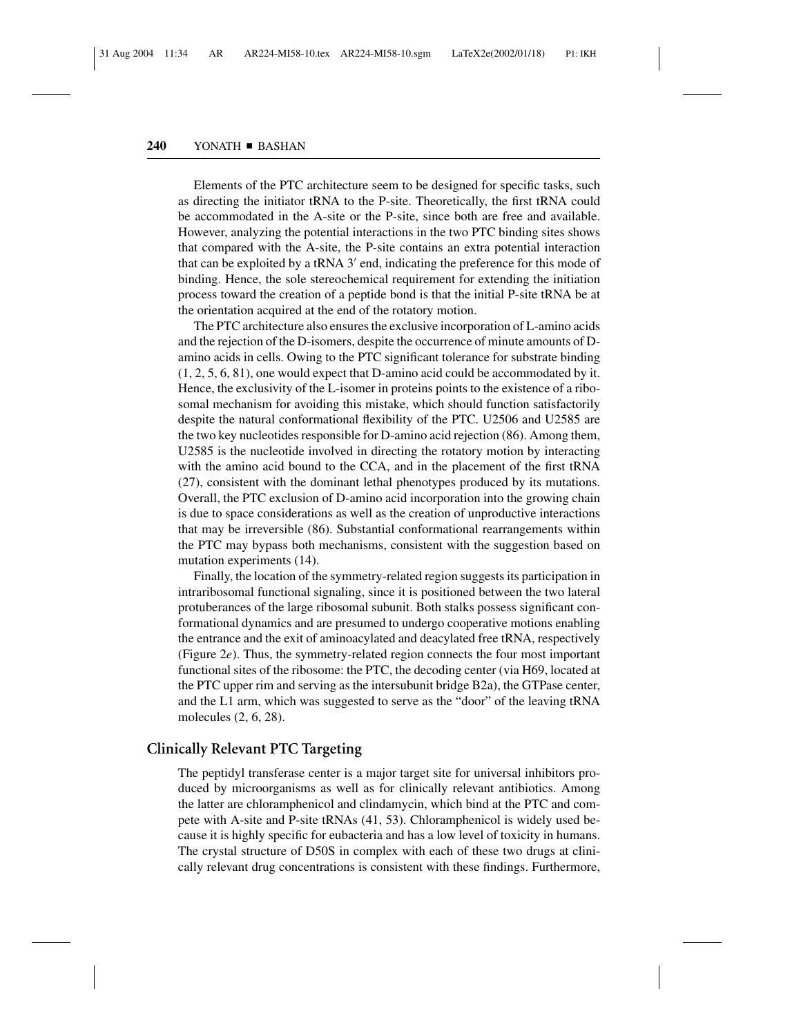Elements of the PTC architecture seem to be designed for specific tasks, such as directing the initiator tRNA to the P-site. Theoretically, the first tRNA could be accommodated in the A-site or the P-site, since both are free and available. However, analyzing the potential interactions in the two PTC binding sites shows that compared with the A-site, the P-site contains an extra potential interaction that can be exploited by a tRNA  $3'$  end, indicating the preference for this mode of binding. Hence, the sole stereochemical requirement for extending the initiation process toward the creation of a peptide bond is that the initial P-site tRNA be at the orientation acquired at the end of the rotatory motion.

The PTC architecture also ensures the exclusive incorporation of L-amino acids and the rejection of the D-isomers, despite the occurrence of minute amounts of Damino acids in cells. Owing to the PTC significant tolerance for substrate binding (1, 2, 5, 6, 81), one would expect that D-amino acid could be accommodated by it. Hence, the exclusivity of the L-isomer in proteins points to the existence of a ribosomal mechanism for avoiding this mistake, which should function satisfactorily despite the natural conformational flexibility of the PTC. U2506 and U2585 are the two key nucleotides responsible for D-amino acid rejection (86). Among them, U2585 is the nucleotide involved in directing the rotatory motion by interacting with the amino acid bound to the CCA, and in the placement of the first tRNA (27), consistent with the dominant lethal phenotypes produced by its mutations. Overall, the PTC exclusion of D-amino acid incorporation into the growing chain is due to space considerations as well as the creation of unproductive interactions that may be irreversible (86). Substantial conformational rearrangements within the PTC may bypass both mechanisms, consistent with the suggestion based on mutation experiments (14).

Finally, the location of the symmetry-related region suggests its participation in intraribosomal functional signaling, since it is positioned between the two lateral protuberances of the large ribosomal subunit. Both stalks possess significant conformational dynamics and are presumed to undergo cooperative motions enabling the entrance and the exit of aminoacylated and deacylated free tRNA, respectively (Figure 2*e*). Thus, the symmetry-related region connects the four most important functional sites of the ribosome: the PTC, the decoding center (via H69, located at the PTC upper rim and serving as the intersubunit bridge B2a), the GTPase center, and the L1 arm, which was suggested to serve as the "door" of the leaving tRNA molecules (2, 6, 28).

#### **Clinically Relevant PTC Targeting**

The peptidyl transferase center is a major target site for universal inhibitors produced by microorganisms as well as for clinically relevant antibiotics. Among the latter are chloramphenicol and clindamycin, which bind at the PTC and compete with A-site and P-site tRNAs (41, 53). Chloramphenicol is widely used because it is highly specific for eubacteria and has a low level of toxicity in humans. The crystal structure of D50S in complex with each of these two drugs at clinically relevant drug concentrations is consistent with these findings. Furthermore,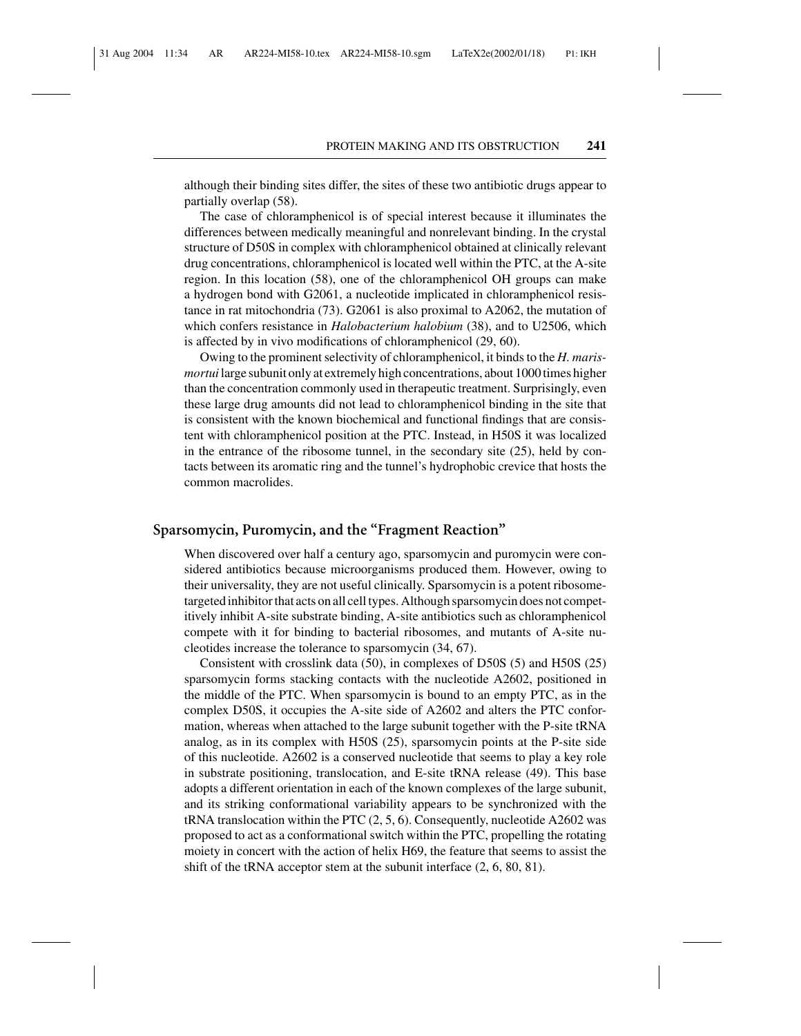although their binding sites differ, the sites of these two antibiotic drugs appear to partially overlap (58).

The case of chloramphenicol is of special interest because it illuminates the differences between medically meaningful and nonrelevant binding. In the crystal structure of D50S in complex with chloramphenicol obtained at clinically relevant drug concentrations, chloramphenicol is located well within the PTC, at the A-site region. In this location (58), one of the chloramphenicol OH groups can make a hydrogen bond with G2061, a nucleotide implicated in chloramphenicol resistance in rat mitochondria (73). G2061 is also proximal to A2062, the mutation of which confers resistance in *Halobacterium halobium* (38), and to U2506, which is affected by in vivo modifications of chloramphenicol (29, 60).

Owing to the prominent selectivity of chloramphenicol, it binds to the *H. marismortui* large subunit only at extremely high concentrations, about 1000 times higher than the concentration commonly used in therapeutic treatment. Surprisingly, even these large drug amounts did not lead to chloramphenicol binding in the site that is consistent with the known biochemical and functional findings that are consistent with chloramphenicol position at the PTC. Instead, in H50S it was localized in the entrance of the ribosome tunnel, in the secondary site (25), held by contacts between its aromatic ring and the tunnel's hydrophobic crevice that hosts the common macrolides.

## **Sparsomycin, Puromycin, and the "Fragment Reaction"**

When discovered over half a century ago, sparsomycin and puromycin were considered antibiotics because microorganisms produced them. However, owing to their universality, they are not useful clinically. Sparsomycin is a potent ribosometargeted inhibitor that acts on all cell types. Although sparsomycin does not competitively inhibit A-site substrate binding, A-site antibiotics such as chloramphenicol compete with it for binding to bacterial ribosomes, and mutants of A-site nucleotides increase the tolerance to sparsomycin (34, 67).

Consistent with crosslink data (50), in complexes of D50S (5) and H50S (25) sparsomycin forms stacking contacts with the nucleotide A2602, positioned in the middle of the PTC. When sparsomycin is bound to an empty PTC, as in the complex D50S, it occupies the A-site side of A2602 and alters the PTC conformation, whereas when attached to the large subunit together with the P-site tRNA analog, as in its complex with H50S (25), sparsomycin points at the P-site side of this nucleotide. A2602 is a conserved nucleotide that seems to play a key role in substrate positioning, translocation, and E-site tRNA release (49). This base adopts a different orientation in each of the known complexes of the large subunit, and its striking conformational variability appears to be synchronized with the tRNA translocation within the PTC  $(2, 5, 6)$ . Consequently, nucleotide A2602 was proposed to act as a conformational switch within the PTC, propelling the rotating moiety in concert with the action of helix H69, the feature that seems to assist the shift of the tRNA acceptor stem at the subunit interface (2, 6, 80, 81).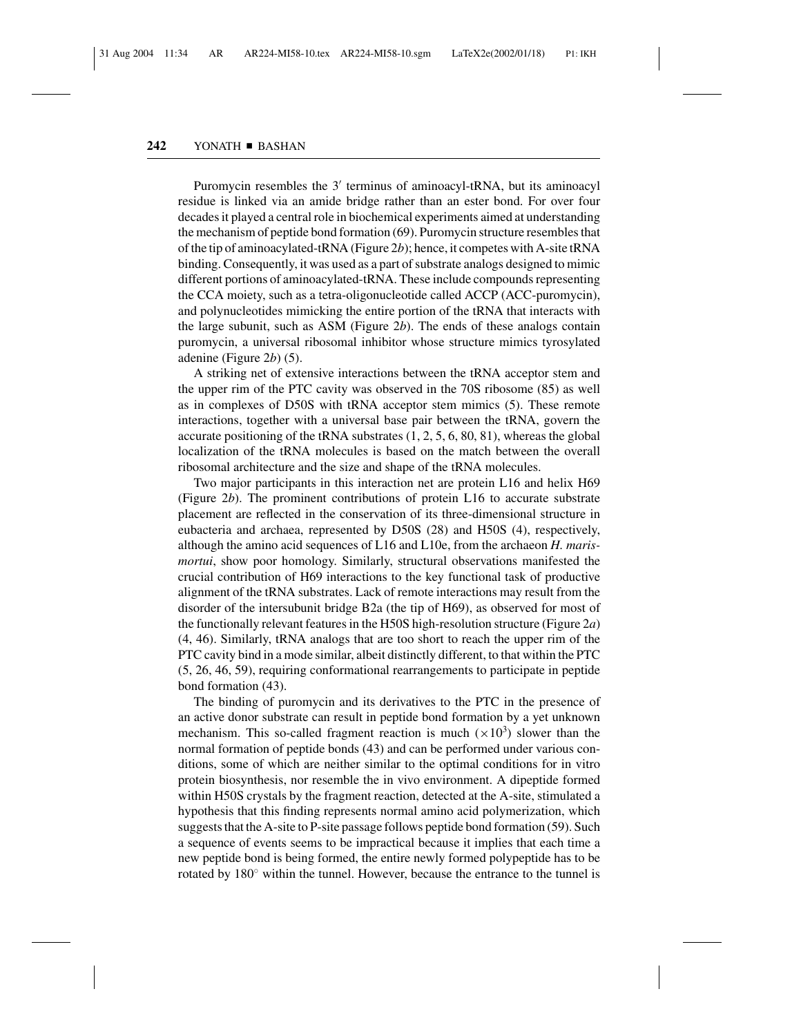Puromycin resembles the  $3'$  terminus of aminoacyl-tRNA, but its aminoacyl residue is linked via an amide bridge rather than an ester bond. For over four decades it played a central role in biochemical experiments aimed at understanding the mechanism of peptide bond formation (69). Puromycin structure resembles that of the tip of aminoacylated-tRNA (Figure 2*b*); hence, it competes with A-site tRNA binding. Consequently, it was used as a part of substrate analogs designed to mimic different portions of aminoacylated-tRNA. These include compounds representing the CCA moiety, such as a tetra-oligonucleotide called ACCP (ACC-puromycin), and polynucleotides mimicking the entire portion of the tRNA that interacts with the large subunit, such as ASM (Figure 2*b*). The ends of these analogs contain puromycin, a universal ribosomal inhibitor whose structure mimics tyrosylated adenine (Figure 2*b*) (5).

A striking net of extensive interactions between the tRNA acceptor stem and the upper rim of the PTC cavity was observed in the 70S ribosome (85) as well as in complexes of D50S with tRNA acceptor stem mimics (5). These remote interactions, together with a universal base pair between the tRNA, govern the accurate positioning of the tRNA substrates  $(1, 2, 5, 6, 80, 81)$ , whereas the global localization of the tRNA molecules is based on the match between the overall ribosomal architecture and the size and shape of the tRNA molecules.

Two major participants in this interaction net are protein L16 and helix H69 (Figure 2*b*). The prominent contributions of protein L16 to accurate substrate placement are reflected in the conservation of its three-dimensional structure in eubacteria and archaea, represented by D50S (28) and H50S (4), respectively, although the amino acid sequences of L16 and L10e, from the archaeon *H. marismortui*, show poor homology. Similarly, structural observations manifested the crucial contribution of H69 interactions to the key functional task of productive alignment of the tRNA substrates. Lack of remote interactions may result from the disorder of the intersubunit bridge B2a (the tip of H69), as observed for most of the functionally relevant features in the H50S high-resolution structure (Figure 2*a*) (4, 46). Similarly, tRNA analogs that are too short to reach the upper rim of the PTC cavity bind in a mode similar, albeit distinctly different, to that within the PTC (5, 26, 46, 59), requiring conformational rearrangements to participate in peptide bond formation (43).

The binding of puromycin and its derivatives to the PTC in the presence of an active donor substrate can result in peptide bond formation by a yet unknown mechanism. This so-called fragment reaction is much  $(\times 10^3)$  slower than the normal formation of peptide bonds (43) and can be performed under various conditions, some of which are neither similar to the optimal conditions for in vitro protein biosynthesis, nor resemble the in vivo environment. A dipeptide formed within H50S crystals by the fragment reaction, detected at the A-site, stimulated a hypothesis that this finding represents normal amino acid polymerization, which suggests that the A-site to P-site passage follows peptide bond formation (59). Such a sequence of events seems to be impractical because it implies that each time a new peptide bond is being formed, the entire newly formed polypeptide has to be rotated by  $180°$  within the tunnel. However, because the entrance to the tunnel is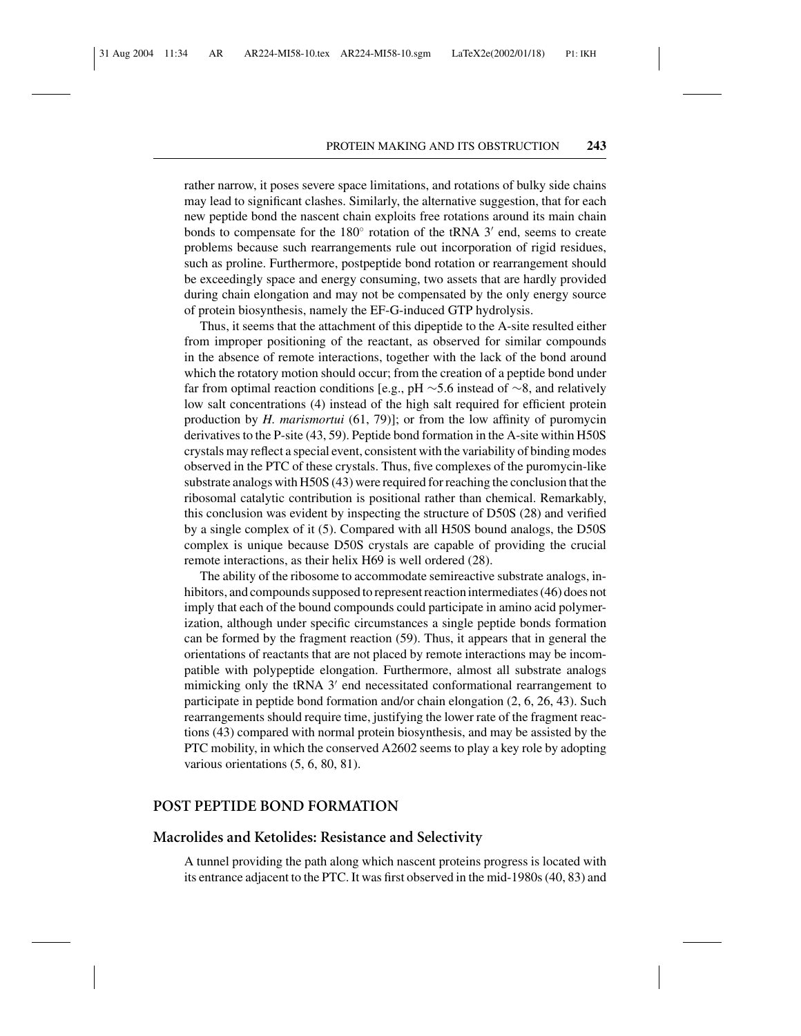rather narrow, it poses severe space limitations, and rotations of bulky side chains may lead to significant clashes. Similarly, the alternative suggestion, that for each new peptide bond the nascent chain exploits free rotations around its main chain bonds to compensate for the  $180°$  rotation of the tRNA 3' end, seems to create problems because such rearrangements rule out incorporation of rigid residues, such as proline. Furthermore, postpeptide bond rotation or rearrangement should be exceedingly space and energy consuming, two assets that are hardly provided during chain elongation and may not be compensated by the only energy source of protein biosynthesis, namely the EF-G-induced GTP hydrolysis.

Thus, it seems that the attachment of this dipeptide to the A-site resulted either from improper positioning of the reactant, as observed for similar compounds in the absence of remote interactions, together with the lack of the bond around which the rotatory motion should occur; from the creation of a peptide bond under far from optimal reaction conditions [e.g., pH ∼5.6 instead of ∼8, and relatively low salt concentrations (4) instead of the high salt required for efficient protein production by *H. marismortui* (61, 79)]; or from the low affinity of puromycin derivatives to the P-site (43, 59). Peptide bond formation in the A-site within H50S crystals may reflect a special event, consistent with the variability of binding modes observed in the PTC of these crystals. Thus, five complexes of the puromycin-like substrate analogs with H50S (43) were required for reaching the conclusion that the ribosomal catalytic contribution is positional rather than chemical. Remarkably, this conclusion was evident by inspecting the structure of D50S (28) and verified by a single complex of it (5). Compared with all H50S bound analogs, the D50S complex is unique because D50S crystals are capable of providing the crucial remote interactions, as their helix H69 is well ordered (28).

The ability of the ribosome to accommodate semireactive substrate analogs, inhibitors, and compounds supposed to represent reaction intermediates (46) does not imply that each of the bound compounds could participate in amino acid polymerization, although under specific circumstances a single peptide bonds formation can be formed by the fragment reaction (59). Thus, it appears that in general the orientations of reactants that are not placed by remote interactions may be incompatible with polypeptide elongation. Furthermore, almost all substrate analogs mimicking only the tRNA  $3'$  end necessitated conformational rearrangement to participate in peptide bond formation and/or chain elongation (2, 6, 26, 43). Such rearrangements should require time, justifying the lower rate of the fragment reactions (43) compared with normal protein biosynthesis, and may be assisted by the PTC mobility, in which the conserved A2602 seems to play a key role by adopting various orientations (5, 6, 80, 81).

#### **POST PEPTIDE BOND FORMATION**

## **Macrolides and Ketolides: Resistance and Selectivity**

A tunnel providing the path along which nascent proteins progress is located with its entrance adjacent to the PTC. It was first observed in the mid-1980s (40, 83) and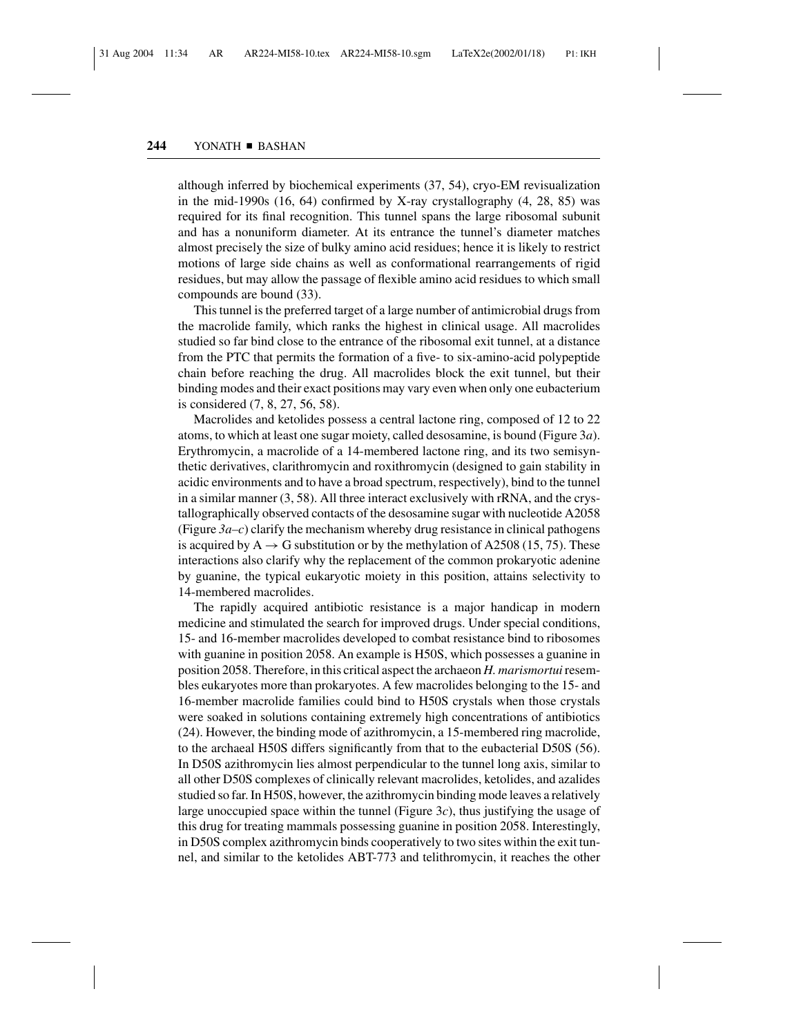although inferred by biochemical experiments (37, 54), cryo-EM revisualization in the mid-1990s  $(16, 64)$  confirmed by X-ray crystallography  $(4, 28, 85)$  was required for its final recognition. This tunnel spans the large ribosomal subunit and has a nonuniform diameter. At its entrance the tunnel's diameter matches almost precisely the size of bulky amino acid residues; hence it is likely to restrict motions of large side chains as well as conformational rearrangements of rigid residues, but may allow the passage of flexible amino acid residues to which small compounds are bound (33).

This tunnel is the preferred target of a large number of antimicrobial drugs from the macrolide family, which ranks the highest in clinical usage. All macrolides studied so far bind close to the entrance of the ribosomal exit tunnel, at a distance from the PTC that permits the formation of a five- to six-amino-acid polypeptide chain before reaching the drug. All macrolides block the exit tunnel, but their binding modes and their exact positions may vary even when only one eubacterium is considered (7, 8, 27, 56, 58).

Macrolides and ketolides possess a central lactone ring, composed of 12 to 22 atoms, to which at least one sugar moiety, called desosamine, is bound (Figure 3*a*). Erythromycin, a macrolide of a 14-membered lactone ring, and its two semisynthetic derivatives, clarithromycin and roxithromycin (designed to gain stability in acidic environments and to have a broad spectrum, respectively), bind to the tunnel in a similar manner (3, 58). All three interact exclusively with rRNA, and the crystallographically observed contacts of the desosamine sugar with nucleotide A2058 (Figure  $3a-c$ ) clarify the mechanism whereby drug resistance in clinical pathogens is acquired by  $A \rightarrow G$  substitution or by the methylation of A2508 (15, 75). These interactions also clarify why the replacement of the common prokaryotic adenine by guanine, the typical eukaryotic moiety in this position, attains selectivity to 14-membered macrolides.

The rapidly acquired antibiotic resistance is a major handicap in modern medicine and stimulated the search for improved drugs. Under special conditions, 15- and 16-member macrolides developed to combat resistance bind to ribosomes with guanine in position 2058. An example is H50S, which possesses a guanine in position 2058. Therefore, in this critical aspect the archaeon *H. marismortui*resembles eukaryotes more than prokaryotes. A few macrolides belonging to the 15- and 16-member macrolide families could bind to H50S crystals when those crystals were soaked in solutions containing extremely high concentrations of antibiotics (24). However, the binding mode of azithromycin, a 15-membered ring macrolide, to the archaeal H50S differs significantly from that to the eubacterial D50S (56). In D50S azithromycin lies almost perpendicular to the tunnel long axis, similar to all other D50S complexes of clinically relevant macrolides, ketolides, and azalides studied so far. In H50S, however, the azithromycin binding mode leaves a relatively large unoccupied space within the tunnel (Figure 3*c*), thus justifying the usage of this drug for treating mammals possessing guanine in position 2058. Interestingly, in D50S complex azithromycin binds cooperatively to two sites within the exit tunnel, and similar to the ketolides ABT-773 and telithromycin, it reaches the other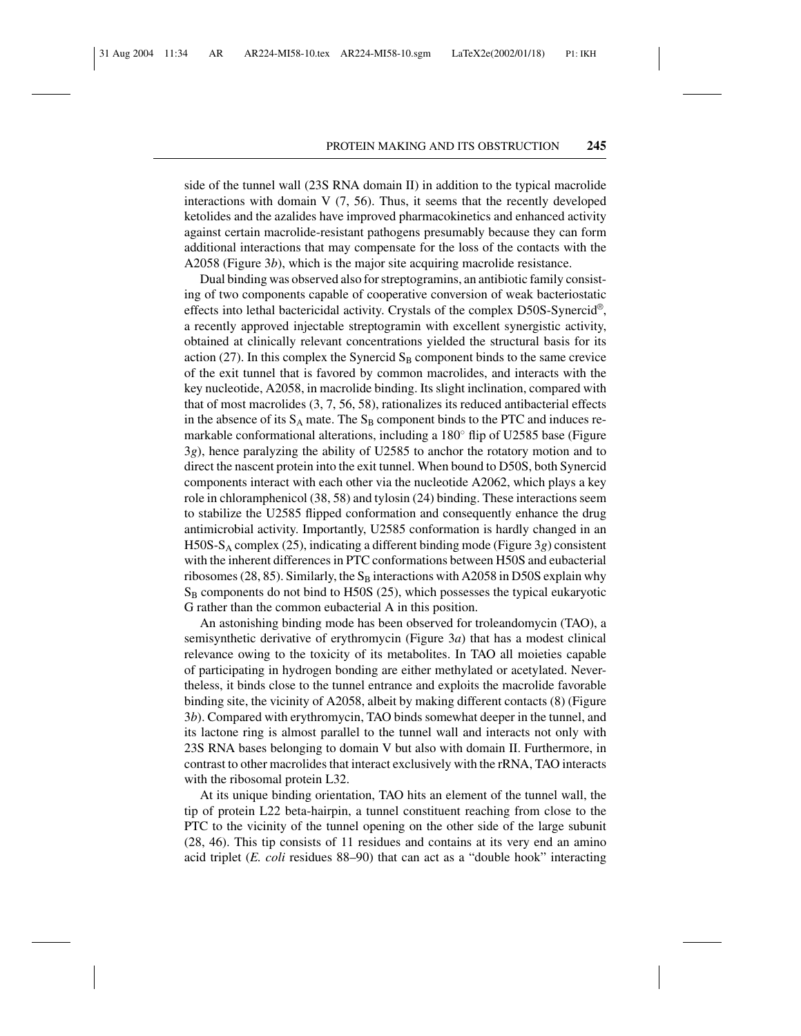side of the tunnel wall (23S RNA domain II) in addition to the typical macrolide interactions with domain  $V(7, 56)$ . Thus, it seems that the recently developed ketolides and the azalides have improved pharmacokinetics and enhanced activity against certain macrolide-resistant pathogens presumably because they can form additional interactions that may compensate for the loss of the contacts with the A2058 (Figure 3*b*), which is the major site acquiring macrolide resistance.

Dual binding was observed also for streptogramins, an antibiotic family consisting of two components capable of cooperative conversion of weak bacteriostatic effects into lethal bactericidal activity. Crystals of the complex D50S-Synercid<sup>®</sup>, a recently approved injectable streptogramin with excellent synergistic activity, obtained at clinically relevant concentrations yielded the structural basis for its action (27). In this complex the Synercid  $S_B$  component binds to the same crevice of the exit tunnel that is favored by common macrolides, and interacts with the key nucleotide, A2058, in macrolide binding. Its slight inclination, compared with that of most macrolides (3, 7, 56, 58), rationalizes its reduced antibacterial effects in the absence of its  $S_A$  mate. The  $S_B$  component binds to the PTC and induces remarkable conformational alterations, including a  $180°$  flip of U2585 base (Figure 3*g*), hence paralyzing the ability of U2585 to anchor the rotatory motion and to direct the nascent protein into the exit tunnel. When bound to D50S, both Synercid components interact with each other via the nucleotide A2062, which plays a key role in chloramphenicol (38, 58) and tylosin (24) binding. These interactions seem to stabilize the U2585 flipped conformation and consequently enhance the drug antimicrobial activity. Importantly, U2585 conformation is hardly changed in an H50S-SA complex (25), indicating a different binding mode (Figure 3*g*) consistent with the inherent differences in PTC conformations between H50S and eubacterial ribosomes (28, 85). Similarly, the  $S_B$  interactions with A2058 in D50S explain why  $S_B$  components do not bind to H50S (25), which possesses the typical eukaryotic G rather than the common eubacterial A in this position.

An astonishing binding mode has been observed for troleandomycin (TAO), a semisynthetic derivative of erythromycin (Figure 3*a*) that has a modest clinical relevance owing to the toxicity of its metabolites. In TAO all moieties capable of participating in hydrogen bonding are either methylated or acetylated. Nevertheless, it binds close to the tunnel entrance and exploits the macrolide favorable binding site, the vicinity of A2058, albeit by making different contacts (8) (Figure 3*b*). Compared with erythromycin, TAO binds somewhat deeper in the tunnel, and its lactone ring is almost parallel to the tunnel wall and interacts not only with 23S RNA bases belonging to domain V but also with domain II. Furthermore, in contrast to other macrolides that interact exclusively with the rRNA, TAO interacts with the ribosomal protein L32.

At its unique binding orientation, TAO hits an element of the tunnel wall, the tip of protein L22 beta-hairpin, a tunnel constituent reaching from close to the PTC to the vicinity of the tunnel opening on the other side of the large subunit (28, 46). This tip consists of 11 residues and contains at its very end an amino acid triplet (*E. coli* residues 88–90) that can act as a "double hook" interacting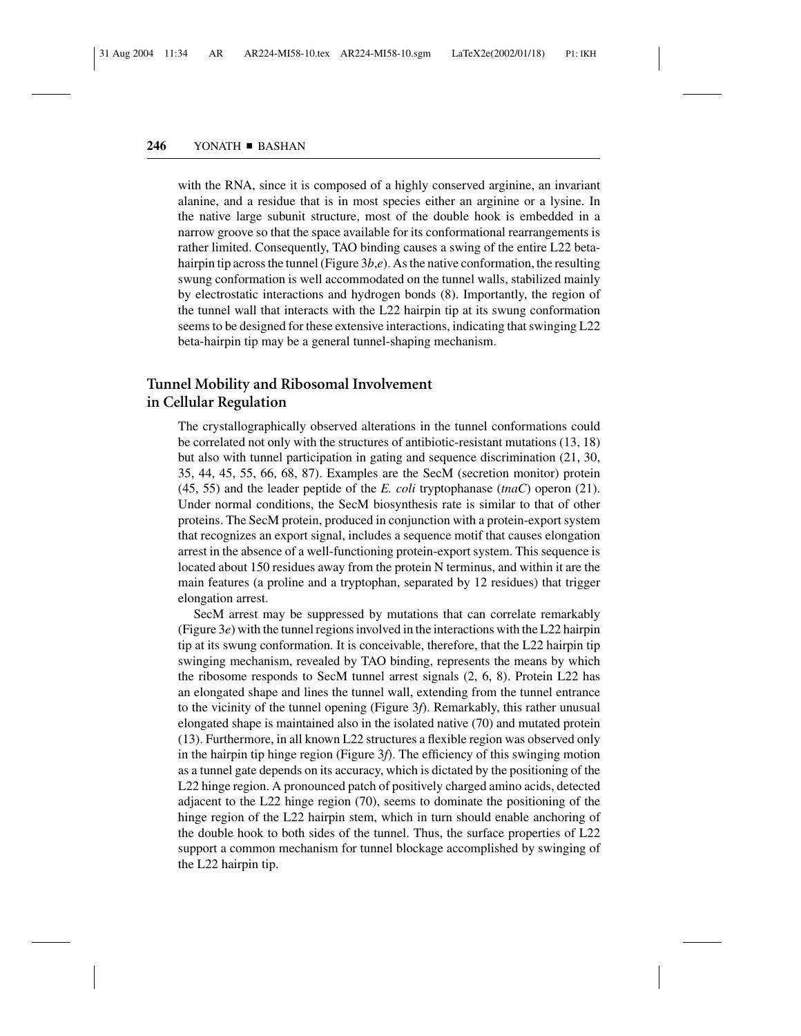with the RNA, since it is composed of a highly conserved arginine, an invariant alanine, and a residue that is in most species either an arginine or a lysine. In the native large subunit structure, most of the double hook is embedded in a narrow groove so that the space available for its conformational rearrangements is rather limited. Consequently, TAO binding causes a swing of the entire L22 betahairpin tip across the tunnel (Figure 3*b*,*e*). As the native conformation, the resulting swung conformation is well accommodated on the tunnel walls, stabilized mainly by electrostatic interactions and hydrogen bonds (8). Importantly, the region of the tunnel wall that interacts with the L22 hairpin tip at its swung conformation seems to be designed for these extensive interactions, indicating that swinging L22 beta-hairpin tip may be a general tunnel-shaping mechanism.

## **Tunnel Mobility and Ribosomal Involvement in Cellular Regulation**

The crystallographically observed alterations in the tunnel conformations could be correlated not only with the structures of antibiotic-resistant mutations (13, 18) but also with tunnel participation in gating and sequence discrimination (21, 30, 35, 44, 45, 55, 66, 68, 87). Examples are the SecM (secretion monitor) protein (45, 55) and the leader peptide of the *E. coli* tryptophanase (*tnaC*) operon (21). Under normal conditions, the SecM biosynthesis rate is similar to that of other proteins. The SecM protein, produced in conjunction with a protein-export system that recognizes an export signal, includes a sequence motif that causes elongation arrest in the absence of a well-functioning protein-export system. This sequence is located about 150 residues away from the protein N terminus, and within it are the main features (a proline and a tryptophan, separated by 12 residues) that trigger elongation arrest.

SecM arrest may be suppressed by mutations that can correlate remarkably (Figure 3*e*) with the tunnel regions involved in the interactions with the L22 hairpin tip at its swung conformation. It is conceivable, therefore, that the L22 hairpin tip swinging mechanism, revealed by TAO binding, represents the means by which the ribosome responds to SecM tunnel arrest signals (2, 6, 8). Protein L22 has an elongated shape and lines the tunnel wall, extending from the tunnel entrance to the vicinity of the tunnel opening (Figure 3*f*). Remarkably, this rather unusual elongated shape is maintained also in the isolated native (70) and mutated protein (13). Furthermore, in all known L22 structures a flexible region was observed only in the hairpin tip hinge region (Figure 3*f*). The efficiency of this swinging motion as a tunnel gate depends on its accuracy, which is dictated by the positioning of the L22 hinge region. A pronounced patch of positively charged amino acids, detected adjacent to the L22 hinge region (70), seems to dominate the positioning of the hinge region of the L22 hairpin stem, which in turn should enable anchoring of the double hook to both sides of the tunnel. Thus, the surface properties of L22 support a common mechanism for tunnel blockage accomplished by swinging of the L22 hairpin tip.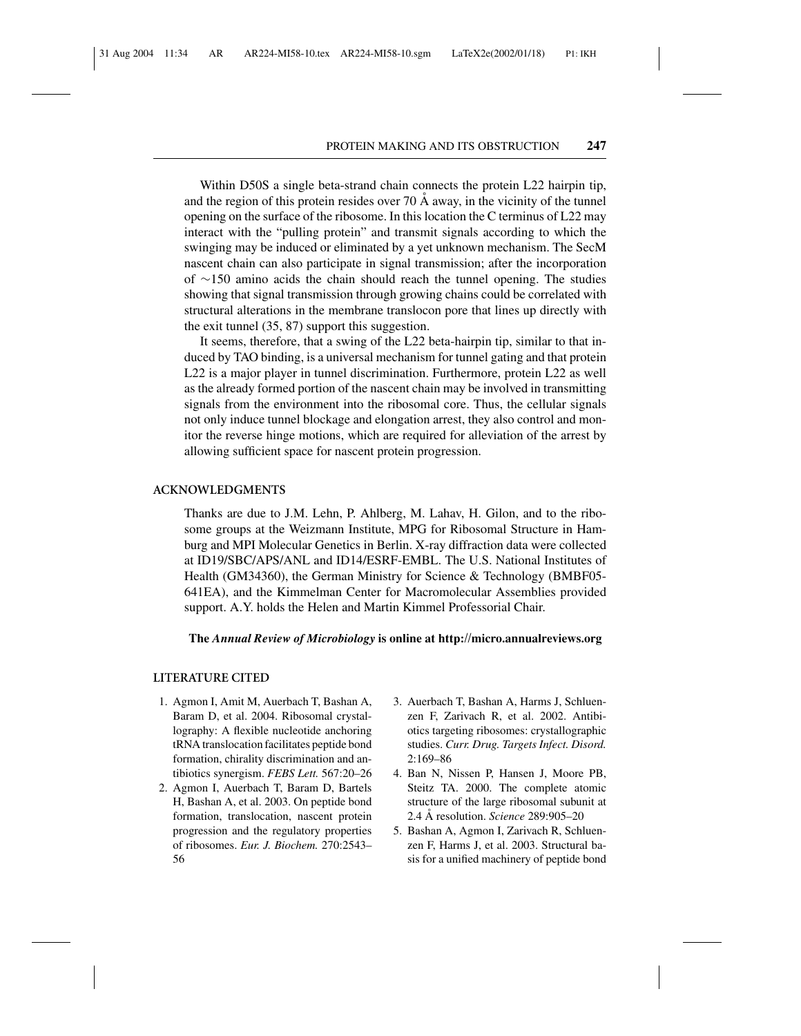Within D50S a single beta-strand chain connects the protein L22 hairpin tip, and the region of this protein resides over  $70 \text{ Å}$  away, in the vicinity of the tunnel opening on the surface of the ribosome. In this location the C terminus of L22 may interact with the "pulling protein" and transmit signals according to which the swinging may be induced or eliminated by a yet unknown mechanism. The SecM nascent chain can also participate in signal transmission; after the incorporation of ∼150 amino acids the chain should reach the tunnel opening. The studies showing that signal transmission through growing chains could be correlated with structural alterations in the membrane translocon pore that lines up directly with the exit tunnel (35, 87) support this suggestion.

It seems, therefore, that a swing of the L22 beta-hairpin tip, similar to that induced by TAO binding, is a universal mechanism for tunnel gating and that protein L22 is a major player in tunnel discrimination. Furthermore, protein L22 as well as the already formed portion of the nascent chain may be involved in transmitting signals from the environment into the ribosomal core. Thus, the cellular signals not only induce tunnel blockage and elongation arrest, they also control and monitor the reverse hinge motions, which are required for alleviation of the arrest by allowing sufficient space for nascent protein progression.

#### **ACKNOWLEDGMENTS**

Thanks are due to J.M. Lehn, P. Ahlberg, M. Lahav, H. Gilon, and to the ribosome groups at the Weizmann Institute, MPG for Ribosomal Structure in Hamburg and MPI Molecular Genetics in Berlin. X-ray diffraction data were collected at ID19/SBC/APS/ANL and ID14/ESRF-EMBL. The U.S. National Institutes of Health (GM34360), the German Ministry for Science & Technology (BMBF05- 641EA), and the Kimmelman Center for Macromolecular Assemblies provided support. A.Y. holds the Helen and Martin Kimmel Professorial Chair.

#### **The** *Annual Review of Microbiology* **is online at http://micro.annualreviews.org**

#### **LITERATURE CITED**

- 1. Agmon I, Amit M, Auerbach T, Bashan A, Baram D, et al. 2004. Ribosomal crystallography: A flexible nucleotide anchoring tRNA translocation facilitates peptide bond formation, chirality discrimination and antibiotics synergism. *FEBS Lett.* 567:20–26
- 2. Agmon I, Auerbach T, Baram D, Bartels H, Bashan A, et al. 2003. On peptide bond formation, translocation, nascent protein progression and the regulatory properties of ribosomes. *Eur. J. Biochem.* 270:2543– 56
- 3. Auerbach T, Bashan A, Harms J, Schluenzen F, Zarivach R, et al. 2002. Antibiotics targeting ribosomes: crystallographic studies. *Curr. Drug. Targets Infect. Disord.* 2:169–86
- 4. Ban N, Nissen P, Hansen J, Moore PB, Steitz TA. 2000. The complete atomic structure of the large ribosomal subunit at 2.4 A˚ resolution. *Science* 289:905–20
- 5. Bashan A, Agmon I, Zarivach R, Schluenzen F, Harms J, et al. 2003. Structural basis for a unified machinery of peptide bond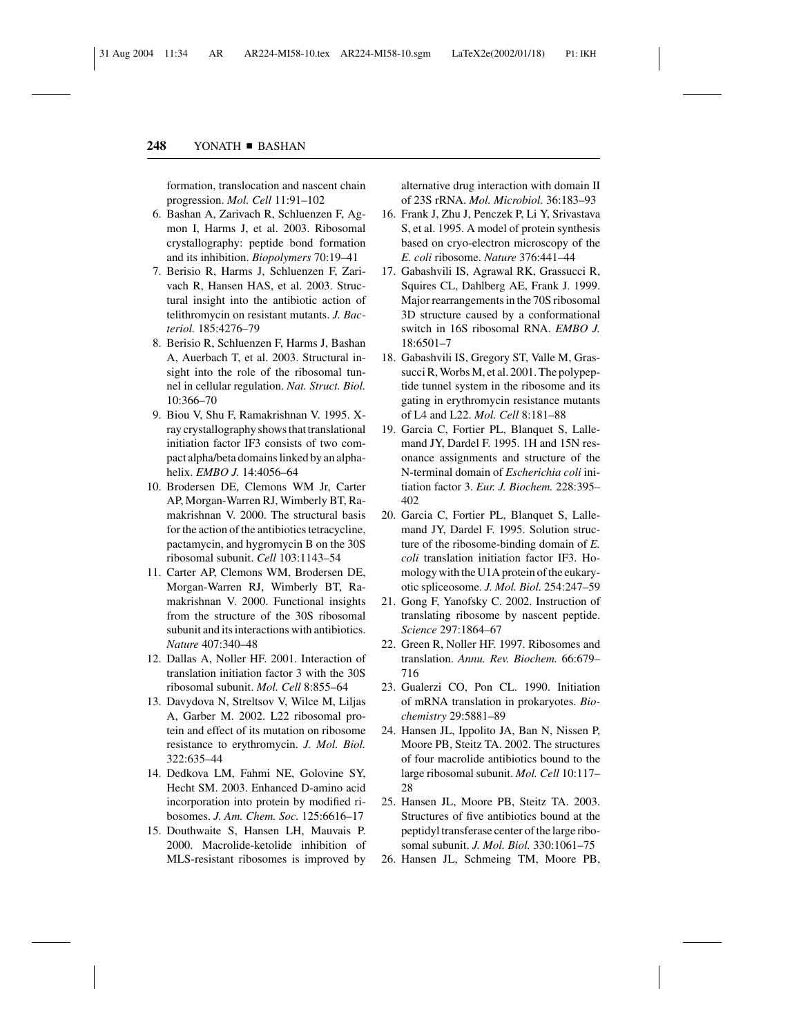formation, translocation and nascent chain progression. *Mol. Cell* 11:91–102

- 6. Bashan A, Zarivach R, Schluenzen F, Agmon I, Harms J, et al. 2003. Ribosomal crystallography: peptide bond formation and its inhibition. *Biopolymers* 70:19–41
- 7. Berisio R, Harms J, Schluenzen F, Zarivach R, Hansen HAS, et al. 2003. Structural insight into the antibiotic action of telithromycin on resistant mutants. *J. Bacteriol.* 185:4276–79
- 8. Berisio R, Schluenzen F, Harms J, Bashan A, Auerbach T, et al. 2003. Structural insight into the role of the ribosomal tunnel in cellular regulation. *Nat. Struct. Biol.* 10:366–70
- 9. Biou V, Shu F, Ramakrishnan V. 1995. Xray crystallography shows that translational initiation factor IF3 consists of two compact alpha/beta domains linked by an alphahelix. *EMBO J.* 14:4056–64
- 10. Brodersen DE, Clemons WM Jr, Carter AP, Morgan-Warren RJ, Wimberly BT, Ramakrishnan V. 2000. The structural basis for the action of the antibiotics tetracycline, pactamycin, and hygromycin B on the 30S ribosomal subunit. *Cell* 103:1143–54
- 11. Carter AP, Clemons WM, Brodersen DE, Morgan-Warren RJ, Wimberly BT, Ramakrishnan V. 2000. Functional insights from the structure of the 30S ribosomal subunit and its interactions with antibiotics. *Nature* 407:340–48
- 12. Dallas A, Noller HF. 2001. Interaction of translation initiation factor 3 with the 30S ribosomal subunit. *Mol. Cell* 8:855–64
- 13. Davydova N, Streltsov V, Wilce M, Liljas A, Garber M. 2002. L22 ribosomal protein and effect of its mutation on ribosome resistance to erythromycin. *J. Mol. Biol.* 322:635–44
- 14. Dedkova LM, Fahmi NE, Golovine SY, Hecht SM. 2003. Enhanced D-amino acid incorporation into protein by modified ribosomes. *J. Am. Chem. Soc.* 125:6616–17
- 15. Douthwaite S, Hansen LH, Mauvais P. 2000. Macrolide-ketolide inhibition of MLS-resistant ribosomes is improved by

alternative drug interaction with domain II of 23S rRNA. *Mol. Microbiol.* 36:183–93

- 16. Frank J, Zhu J, Penczek P, Li Y, Srivastava S, et al. 1995. A model of protein synthesis based on cryo-electron microscopy of the *E. coli* ribosome. *Nature* 376:441–44
- 17. Gabashvili IS, Agrawal RK, Grassucci R, Squires CL, Dahlberg AE, Frank J. 1999. Major rearrangements in the 70S ribosomal 3D structure caused by a conformational switch in 16S ribosomal RNA. *EMBO J.* 18:6501–7
- 18. Gabashvili IS, Gregory ST, Valle M, Grassucci R, Worbs M, et al. 2001. The polypeptide tunnel system in the ribosome and its gating in erythromycin resistance mutants of L4 and L22. *Mol. Cell* 8:181–88
- 19. Garcia C, Fortier PL, Blanquet S, Lallemand JY, Dardel F. 1995. 1H and 15N resonance assignments and structure of the N-terminal domain of *Escherichia coli* initiation factor 3. *Eur. J. Biochem.* 228:395– 402
- 20. Garcia C, Fortier PL, Blanquet S, Lallemand JY, Dardel F. 1995. Solution structure of the ribosome-binding domain of *E. coli* translation initiation factor IF3. Homology with the U1A protein of the eukaryotic spliceosome. *J. Mol. Biol.* 254:247–59
- 21. Gong F, Yanofsky C. 2002. Instruction of translating ribosome by nascent peptide. *Science* 297:1864–67
- 22. Green R, Noller HF. 1997. Ribosomes and translation. *Annu. Rev. Biochem.* 66:679– 716
- 23. Gualerzi CO, Pon CL. 1990. Initiation of mRNA translation in prokaryotes. *Biochemistry* 29:5881–89
- 24. Hansen JL, Ippolito JA, Ban N, Nissen P, Moore PB, Steitz TA. 2002. The structures of four macrolide antibiotics bound to the large ribosomal subunit. *Mol. Cell* 10:117– 28
- 25. Hansen JL, Moore PB, Steitz TA. 2003. Structures of five antibiotics bound at the peptidyl transferase center of the large ribosomal subunit. *J. Mol. Biol.* 330:1061–75
- 26. Hansen JL, Schmeing TM, Moore PB,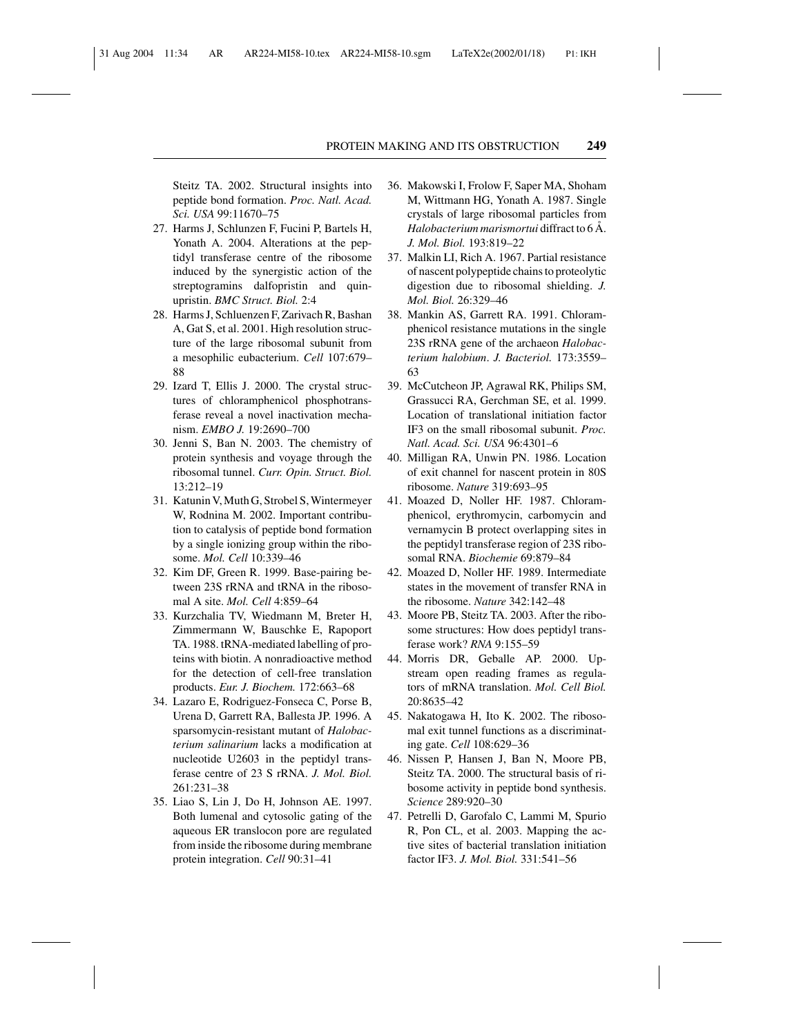Steitz TA. 2002. Structural insights into peptide bond formation. *Proc. Natl. Acad. Sci. USA* 99:11670–75

- 27. Harms J, Schlunzen F, Fucini P, Bartels H, Yonath A. 2004. Alterations at the peptidyl transferase centre of the ribosome induced by the synergistic action of the streptogramins dalfopristin and quinupristin. *BMC Struct. Biol.* 2:4
- 28. Harms J, Schluenzen F, Zarivach R, Bashan A, Gat S, et al. 2001. High resolution structure of the large ribosomal subunit from a mesophilic eubacterium. *Cell* 107:679– 88
- 29. Izard T, Ellis J. 2000. The crystal structures of chloramphenicol phosphotransferase reveal a novel inactivation mechanism. *EMBO J.* 19:2690–700
- 30. Jenni S, Ban N. 2003. The chemistry of protein synthesis and voyage through the ribosomal tunnel. *Curr. Opin. Struct. Biol.* 13:212–19
- 31. Katunin V, Muth G, Strobel S, Wintermeyer W, Rodnina M. 2002. Important contribution to catalysis of peptide bond formation by a single ionizing group within the ribosome. *Mol. Cell* 10:339–46
- 32. Kim DF, Green R. 1999. Base-pairing between 23S rRNA and tRNA in the ribosomal A site. *Mol. Cell* 4:859–64
- 33. Kurzchalia TV, Wiedmann M, Breter H, Zimmermann W, Bauschke E, Rapoport TA. 1988. tRNA-mediated labelling of proteins with biotin. A nonradioactive method for the detection of cell-free translation products. *Eur. J. Biochem.* 172:663–68
- 34. Lazaro E, Rodriguez-Fonseca C, Porse B, Urena D, Garrett RA, Ballesta JP. 1996. A sparsomycin-resistant mutant of *Halobacterium salinarium* lacks a modification at nucleotide U2603 in the peptidyl transferase centre of 23 S rRNA. *J. Mol. Biol.* 261:231–38
- 35. Liao S, Lin J, Do H, Johnson AE. 1997. Both lumenal and cytosolic gating of the aqueous ER translocon pore are regulated from inside the ribosome during membrane protein integration. *Cell* 90:31–41
- 36. Makowski I, Frolow F, Saper MA, Shoham M, Wittmann HG, Yonath A. 1987. Single crystals of large ribosomal particles from *Halobacterium marismortui* diffract to 6 Å. *J. Mol. Biol.* 193:819–22
- 37. Malkin LI, Rich A. 1967. Partial resistance of nascent polypeptide chains to proteolytic digestion due to ribosomal shielding. *J. Mol. Biol.* 26:329–46
- 38. Mankin AS, Garrett RA. 1991. Chloramphenicol resistance mutations in the single 23S rRNA gene of the archaeon *Halobacterium halobium*. *J. Bacteriol.* 173:3559– 63
- 39. McCutcheon JP, Agrawal RK, Philips SM, Grassucci RA, Gerchman SE, et al. 1999. Location of translational initiation factor IF3 on the small ribosomal subunit. *Proc. Natl. Acad. Sci. USA* 96:4301–6
- 40. Milligan RA, Unwin PN. 1986. Location of exit channel for nascent protein in 80S ribosome. *Nature* 319:693–95
- 41. Moazed D, Noller HF. 1987. Chloramphenicol, erythromycin, carbomycin and vernamycin B protect overlapping sites in the peptidyl transferase region of 23S ribosomal RNA. *Biochemie* 69:879–84
- 42. Moazed D, Noller HF. 1989. Intermediate states in the movement of transfer RNA in the ribosome. *Nature* 342:142–48
- 43. Moore PB, Steitz TA. 2003. After the ribosome structures: How does peptidyl transferase work? *RNA* 9:155–59
- 44. Morris DR, Geballe AP. 2000. Upstream open reading frames as regulators of mRNA translation. *Mol. Cell Biol.* 20:8635–42
- 45. Nakatogawa H, Ito K. 2002. The ribosomal exit tunnel functions as a discriminating gate. *Cell* 108:629–36
- 46. Nissen P, Hansen J, Ban N, Moore PB, Steitz TA. 2000. The structural basis of ribosome activity in peptide bond synthesis. *Science* 289:920–30
- 47. Petrelli D, Garofalo C, Lammi M, Spurio R, Pon CL, et al. 2003. Mapping the active sites of bacterial translation initiation factor IF3. *J. Mol. Biol.* 331:541–56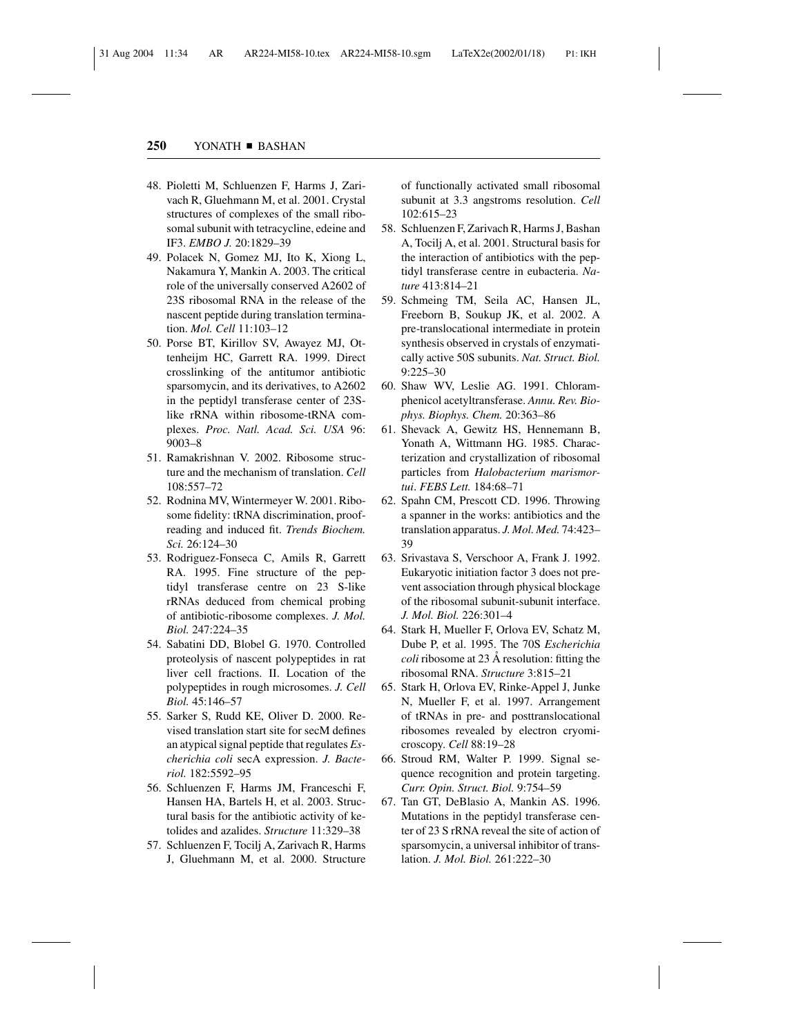- 48. Pioletti M, Schluenzen F, Harms J, Zarivach R, Gluehmann M, et al. 2001. Crystal structures of complexes of the small ribosomal subunit with tetracycline, edeine and IF3. *EMBO J.* 20:1829–39
- 49. Polacek N, Gomez MJ, Ito K, Xiong L, Nakamura Y, Mankin A. 2003. The critical role of the universally conserved A2602 of 23S ribosomal RNA in the release of the nascent peptide during translation termination. *Mol. Cell* 11:103–12
- 50. Porse BT, Kirillov SV, Awayez MJ, Ottenheijm HC, Garrett RA. 1999. Direct crosslinking of the antitumor antibiotic sparsomycin, and its derivatives, to A2602 in the peptidyl transferase center of 23Slike rRNA within ribosome-tRNA complexes. *Proc. Natl. Acad. Sci. USA* 96: 9003–8
- 51. Ramakrishnan V. 2002. Ribosome structure and the mechanism of translation. *Cell* 108:557–72
- 52. Rodnina MV, Wintermeyer W. 2001. Ribosome fidelity: tRNA discrimination, proofreading and induced fit. *Trends Biochem. Sci.* 26:124–30
- 53. Rodriguez-Fonseca C, Amils R, Garrett RA. 1995. Fine structure of the peptidyl transferase centre on 23 S-like rRNAs deduced from chemical probing of antibiotic-ribosome complexes. *J. Mol. Biol.* 247:224–35
- 54. Sabatini DD, Blobel G. 1970. Controlled proteolysis of nascent polypeptides in rat liver cell fractions. II. Location of the polypeptides in rough microsomes. *J. Cell Biol.* 45:146–57
- 55. Sarker S, Rudd KE, Oliver D. 2000. Revised translation start site for secM defines an atypical signal peptide that regulates *Escherichia coli* secA expression. *J. Bacteriol.* 182:5592–95
- 56. Schluenzen F, Harms JM, Franceschi F, Hansen HA, Bartels H, et al. 2003. Structural basis for the antibiotic activity of ketolides and azalides. *Structure* 11:329–38
- 57. Schluenzen F, Tocilj A, Zarivach R, Harms J, Gluehmann M, et al. 2000. Structure

of functionally activated small ribosomal subunit at 3.3 angstroms resolution. *Cell* 102:615–23

- 58. Schluenzen F, Zarivach R, Harms J, Bashan A, Tocilj A, et al. 2001. Structural basis for the interaction of antibiotics with the peptidyl transferase centre in eubacteria. *Nature* 413:814–21
- 59. Schmeing TM, Seila AC, Hansen JL, Freeborn B, Soukup JK, et al. 2002. A pre-translocational intermediate in protein synthesis observed in crystals of enzymatically active 50S subunits. *Nat. Struct. Biol.* 9:225–30
- 60. Shaw WV, Leslie AG. 1991. Chloramphenicol acetyltransferase. *Annu. Rev. Biophys. Biophys. Chem.* 20:363–86
- 61. Shevack A, Gewitz HS, Hennemann B, Yonath A, Wittmann HG. 1985. Characterization and crystallization of ribosomal particles from *Halobacterium marismortui*. *FEBS Lett.* 184:68–71
- 62. Spahn CM, Prescott CD. 1996. Throwing a spanner in the works: antibiotics and the translation apparatus. *J. Mol. Med.* 74:423– 39
- 63. Srivastava S, Verschoor A, Frank J. 1992. Eukaryotic initiation factor 3 does not prevent association through physical blockage of the ribosomal subunit-subunit interface. *J. Mol. Biol.* 226:301–4
- 64. Stark H, Mueller F, Orlova EV, Schatz M, Dube P, et al. 1995. The 70S *Escherichia coli* ribosome at 23 Å resolution: fitting the ribosomal RNA. *Structure* 3:815–21
- 65. Stark H, Orlova EV, Rinke-Appel J, Junke N, Mueller F, et al. 1997. Arrangement of tRNAs in pre- and posttranslocational ribosomes revealed by electron cryomicroscopy. *Cell* 88:19–28
- 66. Stroud RM, Walter P. 1999. Signal sequence recognition and protein targeting. *Curr. Opin. Struct. Biol.* 9:754–59
- 67. Tan GT, DeBlasio A, Mankin AS. 1996. Mutations in the peptidyl transferase center of 23 S rRNA reveal the site of action of sparsomycin, a universal inhibitor of translation. *J. Mol. Biol.* 261:222–30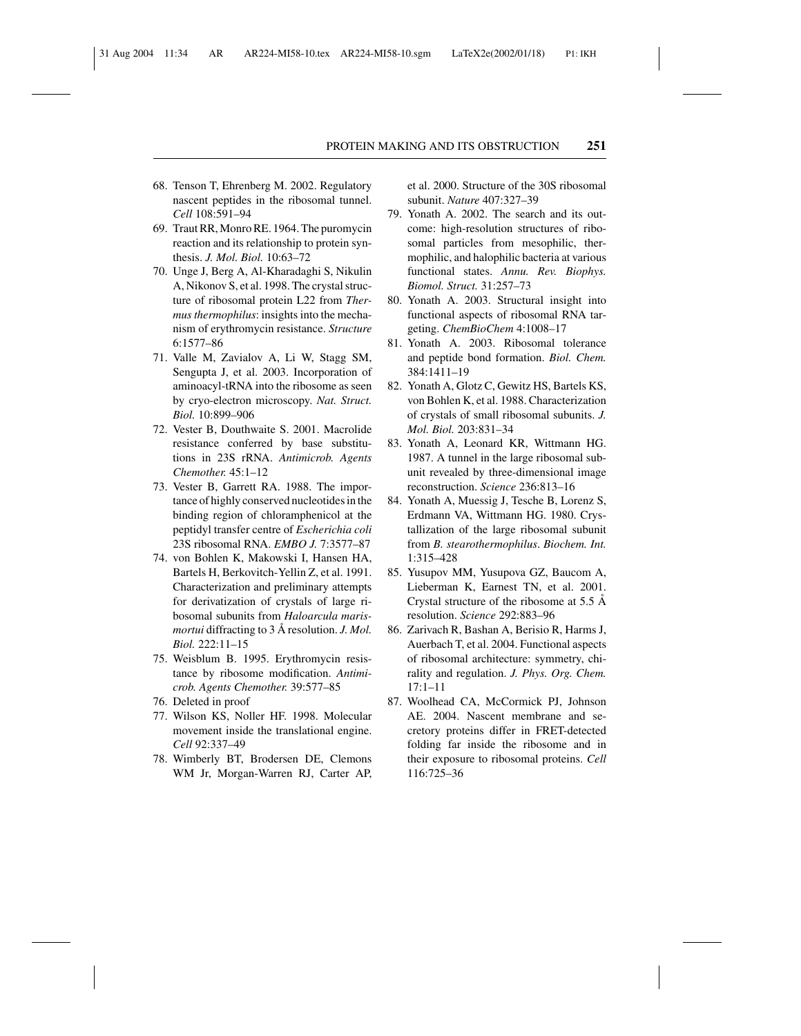- 68. Tenson T, Ehrenberg M. 2002. Regulatory nascent peptides in the ribosomal tunnel. *Cell* 108:591–94
- 69. Traut RR, Monro RE. 1964. The puromycin reaction and its relationship to protein synthesis. *J. Mol. Biol.* 10:63–72
- 70. Unge J, Berg A, Al-Kharadaghi S, Nikulin A, Nikonov S, et al. 1998. The crystal structure of ribosomal protein L22 from *Thermus thermophilus*: insights into the mechanism of erythromycin resistance. *Structure* 6:1577–86
- 71. Valle M, Zavialov A, Li W, Stagg SM, Sengupta J, et al. 2003. Incorporation of aminoacyl-tRNA into the ribosome as seen by cryo-electron microscopy. *Nat. Struct. Biol.* 10:899–906
- 72. Vester B, Douthwaite S. 2001. Macrolide resistance conferred by base substitutions in 23S rRNA. *Antimicrob. Agents Chemother.* 45:1–12
- 73. Vester B, Garrett RA. 1988. The importance of highly conserved nucleotides in the binding region of chloramphenicol at the peptidyl transfer centre of *Escherichia coli* 23S ribosomal RNA. *EMBO J.* 7:3577–87
- 74. von Bohlen K, Makowski I, Hansen HA, Bartels H, Berkovitch-Yellin Z, et al. 1991. Characterization and preliminary attempts for derivatization of crystals of large ribosomal subunits from *Haloarcula marismortui* diffracting to 3 A˚ resolution. *J. Mol. Biol.* 222:11–15
- 75. Weisblum B. 1995. Erythromycin resistance by ribosome modification. *Antimicrob. Agents Chemother.* 39:577–85
- 76. Deleted in proof
- 77. Wilson KS, Noller HF. 1998. Molecular movement inside the translational engine. *Cell* 92:337–49
- 78. Wimberly BT, Brodersen DE, Clemons WM Jr, Morgan-Warren RJ, Carter AP,

et al. 2000. Structure of the 30S ribosomal subunit. *Nature* 407:327–39

- 79. Yonath A. 2002. The search and its outcome: high-resolution structures of ribosomal particles from mesophilic, thermophilic, and halophilic bacteria at various functional states. *Annu. Rev. Biophys. Biomol. Struct.* 31:257–73
- 80. Yonath A. 2003. Structural insight into functional aspects of ribosomal RNA targeting. *ChemBioChem* 4:1008–17
- 81. Yonath A. 2003. Ribosomal tolerance and peptide bond formation. *Biol. Chem.* 384:1411–19
- 82. Yonath A, Glotz C, Gewitz HS, Bartels KS, von Bohlen K, et al. 1988. Characterization of crystals of small ribosomal subunits. *J. Mol. Biol.* 203:831–34
- 83. Yonath A, Leonard KR, Wittmann HG. 1987. A tunnel in the large ribosomal subunit revealed by three-dimensional image reconstruction. *Science* 236:813–16
- 84. Yonath A, Muessig J, Tesche B, Lorenz S, Erdmann VA, Wittmann HG. 1980. Crystallization of the large ribosomal subunit from *B. stearothermophilus*. *Biochem. Int.* 1:315–428
- 85. Yusupov MM, Yusupova GZ, Baucom A, Lieberman K, Earnest TN, et al. 2001. Crystal structure of the ribosome at  $5.5 \text{ Å}$ resolution. *Science* 292:883–96
- 86. Zarivach R, Bashan A, Berisio R, Harms J, Auerbach T, et al. 2004. Functional aspects of ribosomal architecture: symmetry, chirality and regulation. *J. Phys. Org. Chem.* 17:1–11
- 87. Woolhead CA, McCormick PJ, Johnson AE. 2004. Nascent membrane and secretory proteins differ in FRET-detected folding far inside the ribosome and in their exposure to ribosomal proteins. *Cell* 116:725–36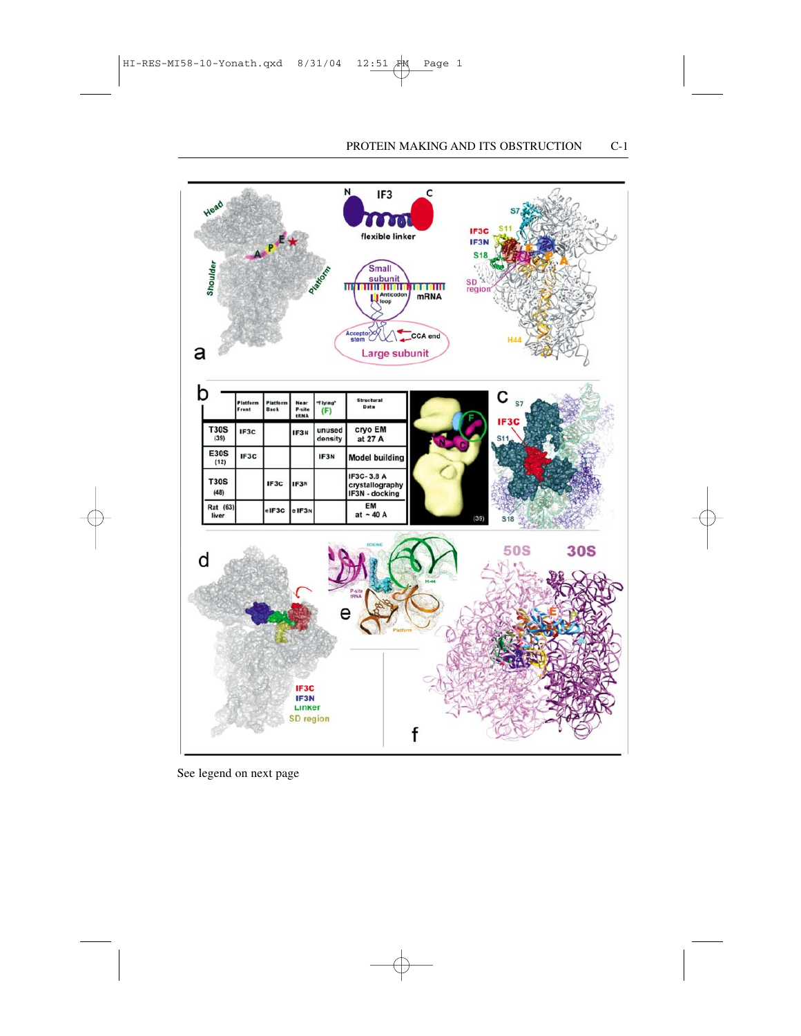

See legend on next page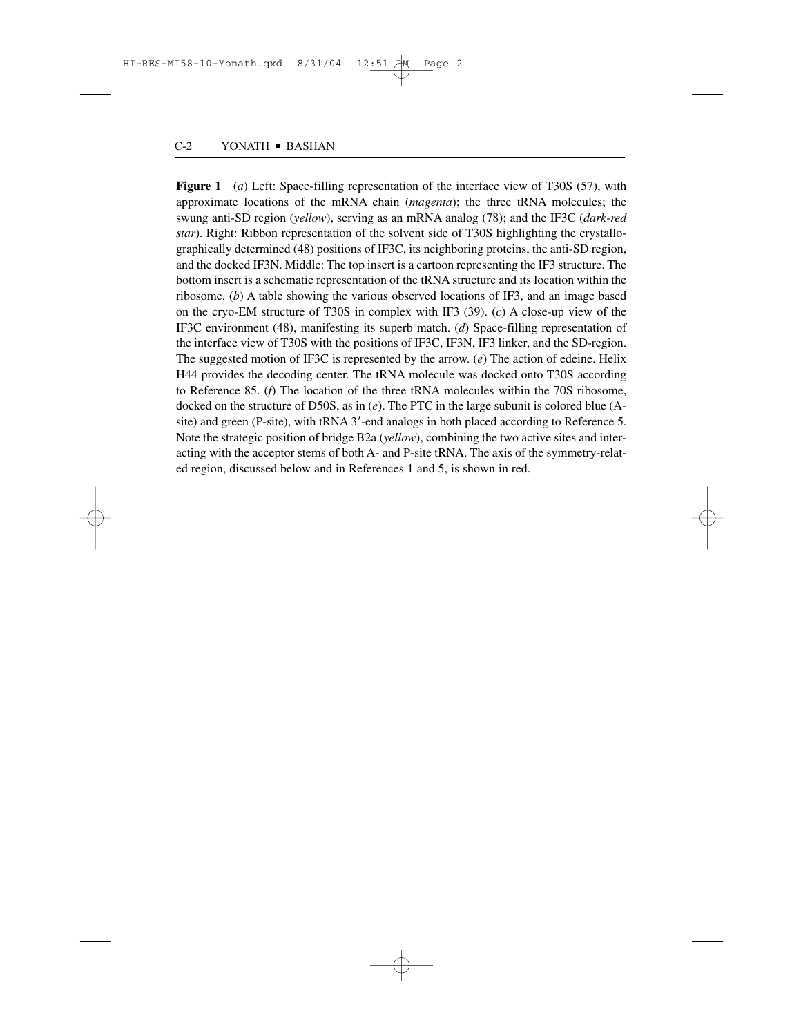**Figure 1** (*a*) Left: Space-filling representation of the interface view of T30S (57), with approximate locations of the mRNA chain (*magenta*); the three tRNA molecules; the swung anti-SD region (*yellow*), serving as an mRNA analog (78); and the IF3C (*dark-red star*). Right: Ribbon representation of the solvent side of T30S highlighting the crystallographically determined (48) positions of IF3C, its neighboring proteins, the anti-SD region, and the docked IF3N. Middle: The top insert is a cartoon representing the IF3 structure. The bottom insert is a schematic representation of the tRNA structure and its location within the ribosome. (*b*) A table showing the various observed locations of IF3, and an image based on the cryo-EM structure of T30S in complex with IF3 (39). (*c*) A close-up view of the IF3C environment (48), manifesting its superb match. (*d*) Space-filling representation of the interface view of T30S with the positions of IF3C, IF3N, IF3 linker, and the SD-region. The suggested motion of IF3C is represented by the arrow. (*e*) The action of edeine. Helix H44 provides the decoding center. The tRNA molecule was docked onto T30S according to Reference 85. (*f*) The location of the three tRNA molecules within the 70S ribosome, docked on the structure of D50S, as in (*e*). The PTC in the large subunit is colored blue (Asite) and green (P-site), with tRNA 3'-end analogs in both placed according to Reference 5. Note the strategic position of bridge B2a (*yellow*), combining the two active sites and interacting with the acceptor stems of both A- and P-site tRNA. The axis of the symmetry-related region, discussed below and in References 1 and 5, is shown in red.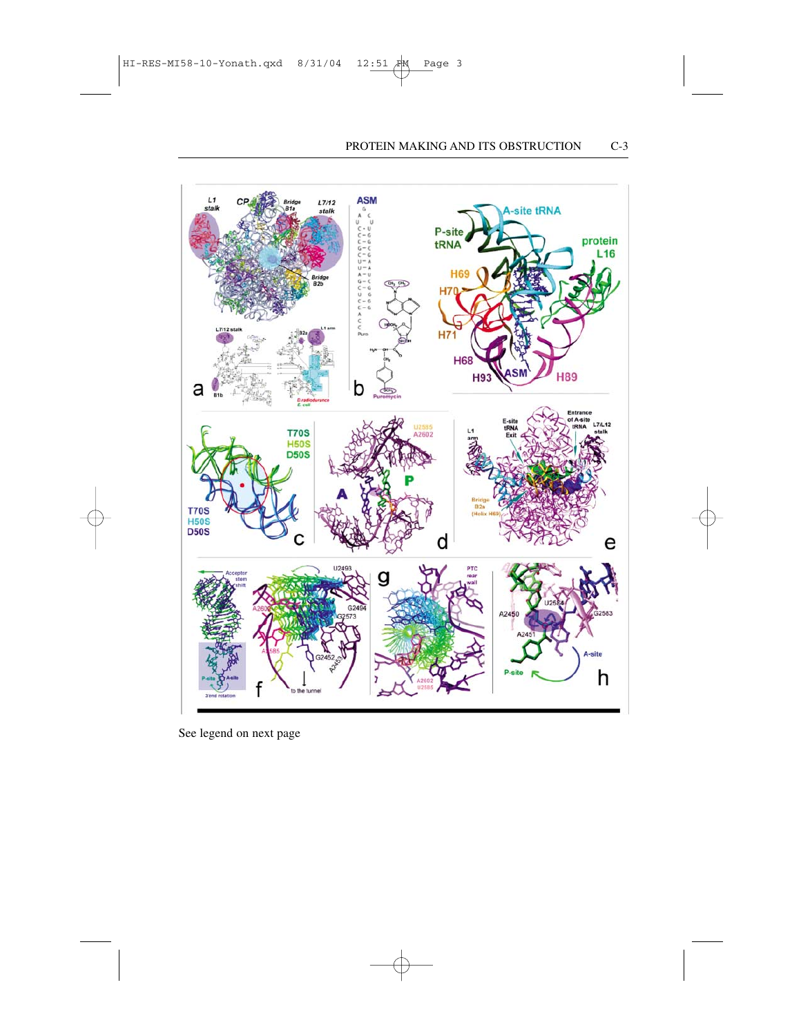

See legend on next page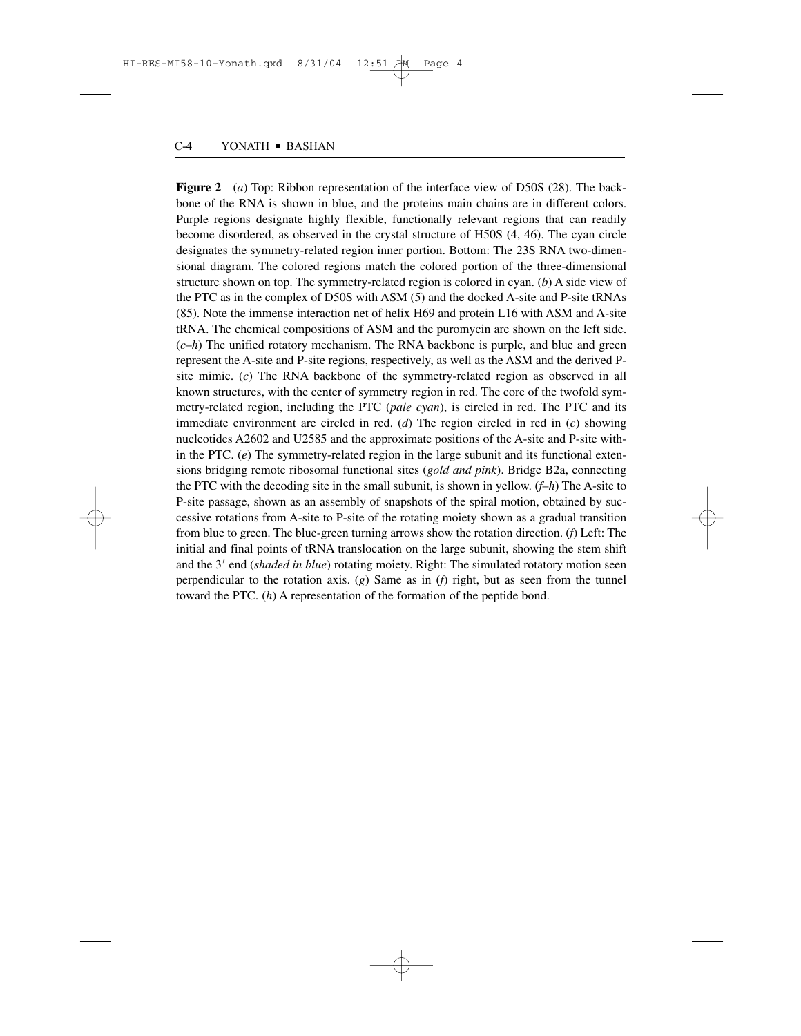**Figure 2** (*a*) Top: Ribbon representation of the interface view of D50S (28). The backbone of the RNA is shown in blue, and the proteins main chains are in different colors. Purple regions designate highly flexible, functionally relevant regions that can readily become disordered, as observed in the crystal structure of H50S (4, 46). The cyan circle designates the symmetry-related region inner portion. Bottom: The 23S RNA two-dimensional diagram. The colored regions match the colored portion of the three-dimensional structure shown on top. The symmetry-related region is colored in cyan. (*b*) A side view of the PTC as in the complex of D50S with ASM (5) and the docked A-site and P-site tRNAs (85). Note the immense interaction net of helix H69 and protein L16 with ASM and A-site tRNA. The chemical compositions of ASM and the puromycin are shown on the left side.  $(c-h)$  The unified rotatory mechanism. The RNA backbone is purple, and blue and green represent the A-site and P-site regions, respectively, as well as the ASM and the derived Psite mimic. (*c*) The RNA backbone of the symmetry-related region as observed in all known structures, with the center of symmetry region in red. The core of the twofold symmetry-related region, including the PTC (*pale cyan*), is circled in red. The PTC and its immediate environment are circled in red. (*d*) The region circled in red in (*c*) showing nucleotides A2602 and U2585 and the approximate positions of the A-site and P-site within the PTC. (*e*) The symmetry-related region in the large subunit and its functional extensions bridging remote ribosomal functional sites (*gold and pink*). Bridge B2a, connecting the PTC with the decoding site in the small subunit, is shown in yellow. (*f*–*h*) The A-site to P-site passage, shown as an assembly of snapshots of the spiral motion, obtained by successive rotations from A-site to P-site of the rotating moiety shown as a gradual transition from blue to green. The blue-green turning arrows show the rotation direction. (*f*) Left: The initial and final points of tRNA translocation on the large subunit, showing the stem shift and the 3' end (*shaded in blue*) rotating moiety. Right: The simulated rotatory motion seen perpendicular to the rotation axis. (*g*) Same as in (*f*) right, but as seen from the tunnel toward the PTC. (*h*) A representation of the formation of the peptide bond.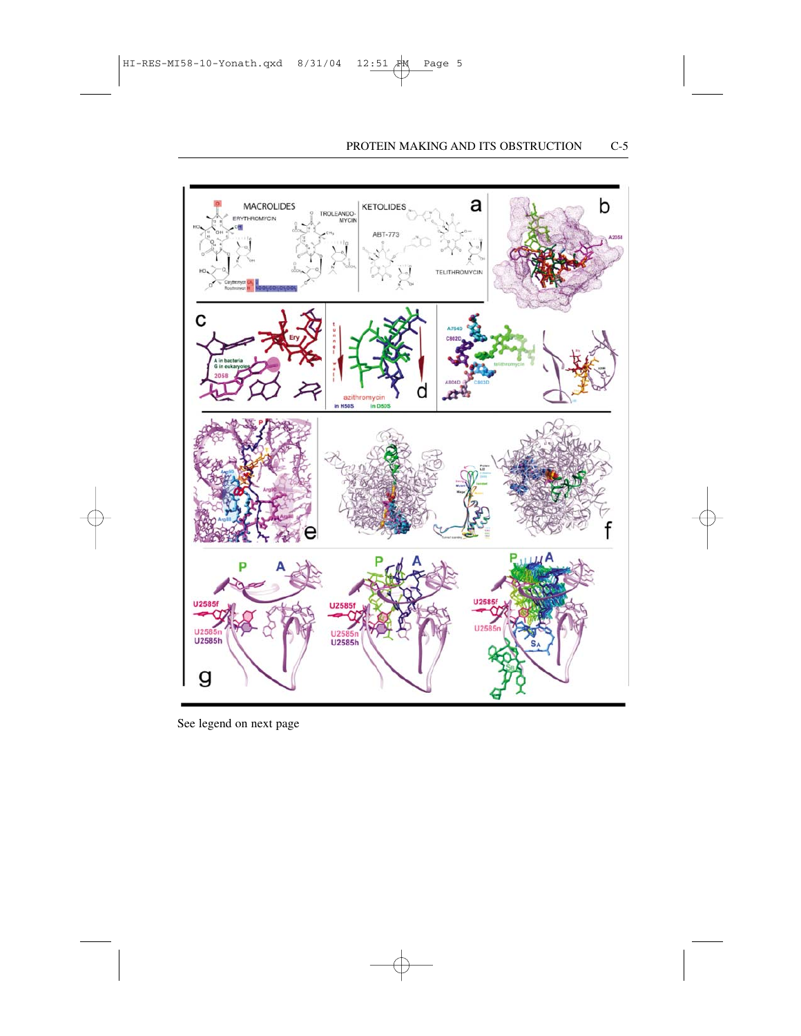

See legend on next page